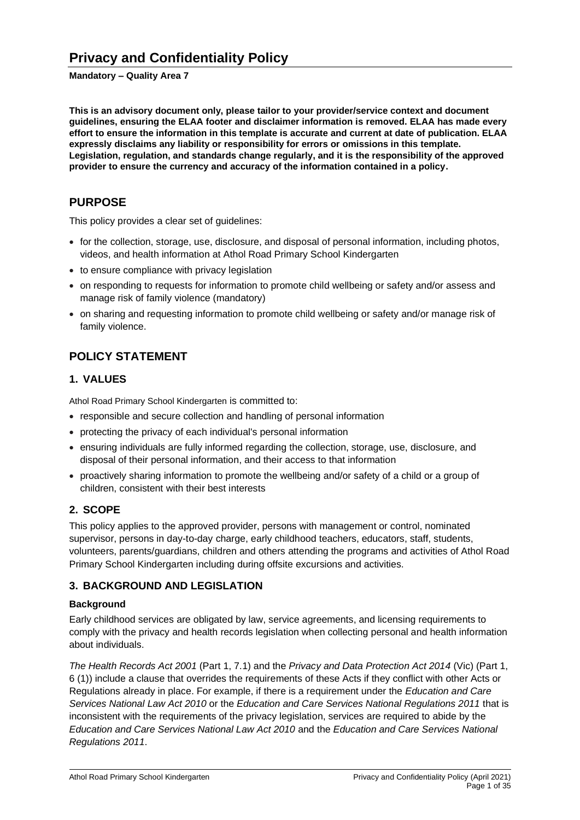### **Mandatory – Quality Area 7**

**This is an advisory document only, please tailor to your provider/service context and document guidelines, ensuring the ELAA footer and disclaimer information is removed. ELAA has made every effort to ensure the information in this template is accurate and current at date of publication. ELAA expressly disclaims any liability or responsibility for errors or omissions in this template. Legislation, regulation, and standards change regularly, and it is the responsibility of the approved provider to ensure the currency and accuracy of the information contained in a policy.**

# **PURPOSE**

This policy provides a clear set of guidelines:

- for the collection, storage, use, disclosure, and disposal of personal information, including photos, videos, and health information at Athol Road Primary School Kindergarten
- to ensure compliance with privacy legislation
- on responding to requests for information to promote child wellbeing or safety and/or assess and manage risk of family violence (mandatory)
- on sharing and requesting information to promote child wellbeing or safety and/or manage risk of family violence.

# **POLICY STATEMENT**

# **1. VALUES**

Athol Road Primary School Kindergarten is committed to:

- responsible and secure collection and handling of personal information
- protecting the privacy of each individual's personal information
- ensuring individuals are fully informed regarding the collection, storage, use, disclosure, and disposal of their personal information, and their access to that information
- proactively sharing information to promote the wellbeing and/or safety of a child or a group of children, consistent with their best interests

# **2. SCOPE**

This policy applies to the approved provider, persons with management or control, nominated supervisor, persons in day-to-day charge, early childhood teachers, educators, staff, students, volunteers, parents/guardians, children and others attending the programs and activities of Athol Road Primary School Kindergarten including during offsite excursions and activities.

# **3. BACKGROUND AND LEGISLATION**

### **Background**

Early childhood services are obligated by law, service agreements, and licensing requirements to comply with the privacy and health records legislation when collecting personal and health information about individuals.

*The Health Records Act 2001* (Part 1, 7.1) and the *Privacy and Data Protection Act 2014* (Vic) (Part 1, 6 (1)) include a clause that overrides the requirements of these Acts if they conflict with other Acts or Regulations already in place. For example, if there is a requirement under the *Education and Care Services National Law Act 2010* or the *Education and Care Services National Regulations 2011* that is inconsistent with the requirements of the privacy legislation, services are required to abide by the *Education and Care Services National Law Act 2010* and the *Education and Care Services National Regulations 2011*.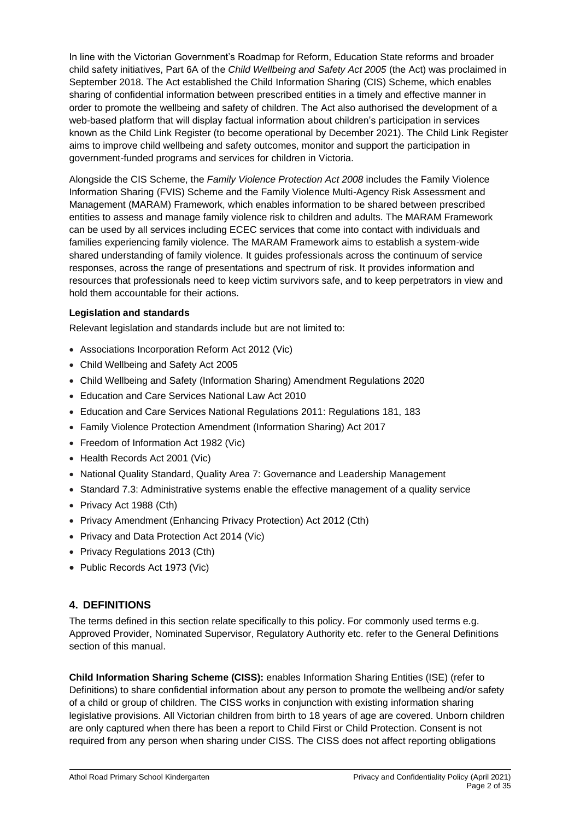In line with the Victorian Government's Roadmap for Reform, Education State reforms and broader child safety initiatives, Part 6A of the *Child Wellbeing and Safety Act 2005* (the Act) was proclaimed in September 2018. The Act established the Child Information Sharing (CIS) Scheme, which enables sharing of confidential information between prescribed entities in a timely and effective manner in order to promote the wellbeing and safety of children. The Act also authorised the development of a web-based platform that will display factual information about children's participation in services known as the Child Link Register (to become operational by December 2021). The Child Link Register aims to improve child wellbeing and safety outcomes, monitor and support the participation in government-funded programs and services for children in Victoria.

Alongside the CIS Scheme, the *Family Violence Protection Act 2008* includes the Family Violence Information Sharing (FVIS) Scheme and the Family Violence Multi-Agency Risk Assessment and Management (MARAM) Framework, which enables information to be shared between prescribed entities to assess and manage family violence risk to children and adults. The MARAM Framework can be used by all services including ECEC services that come into contact with individuals and families experiencing family violence. The MARAM Framework aims to establish a system-wide shared understanding of family violence. It guides professionals across the continuum of service responses, across the range of presentations and spectrum of risk. It provides information and resources that professionals need to keep victim survivors safe, and to keep perpetrators in view and hold them accountable for their actions.

## **Legislation and standards**

Relevant legislation and standards include but are not limited to:

- Associations Incorporation Reform Act 2012 (Vic)
- Child Wellbeing and Safety Act 2005
- Child Wellbeing and Safety (Information Sharing) Amendment Regulations 2020
- Education and Care Services National Law Act 2010
- Education and Care Services National Regulations 2011: Regulations 181, 183
- Family Violence Protection Amendment (Information Sharing) Act 2017
- Freedom of Information Act 1982 (Vic)
- Health Records Act 2001 (Vic)
- National Quality Standard, Quality Area 7: Governance and Leadership Management
- Standard 7.3: Administrative systems enable the effective management of a quality service
- Privacy Act 1988 (Cth)
- Privacy Amendment (Enhancing Privacy Protection) Act 2012 (Cth)
- Privacy and Data Protection Act 2014 (Vic)
- Privacy Regulations 2013 (Cth)
- Public Records Act 1973 (Vic)

# **4. DEFINITIONS**

The terms defined in this section relate specifically to this policy. For commonly used terms e.g. Approved Provider, Nominated Supervisor, Regulatory Authority etc. refer to the General Definitions section of this manual.

**Child Information Sharing Scheme (CISS):** enables Information Sharing Entities (ISE) (refer to Definitions) to share confidential information about any person to promote the wellbeing and/or safety of a child or group of children. The CISS works in conjunction with existing information sharing legislative provisions. All Victorian children from birth to 18 years of age are covered. Unborn children are only captured when there has been a report to Child First or Child Protection. Consent is not required from any person when sharing under CISS. The CISS does not affect reporting obligations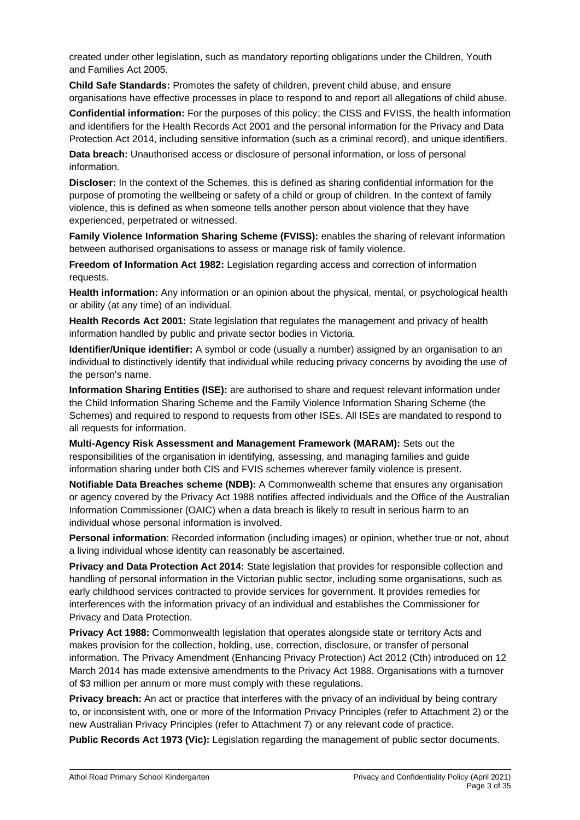created under other legislation, such as mandatory reporting obligations under the Children, Youth and Families Act 2005.

**Child Safe Standards:** Promotes the safety of children, prevent child abuse, and ensure organisations have effective processes in place to respond to and report all allegations of child abuse.

**Confidential information:** For the purposes of this policy; the CISS and FVISS, the health information and identifiers for the Health Records Act 2001 and the personal information for the Privacy and Data Protection Act 2014, including sensitive information (such as a criminal record), and unique identifiers.

**Data breach:** Unauthorised access or disclosure of personal information, or loss of personal information.

**Discloser:** In the context of the Schemes, this is defined as sharing confidential information for the purpose of promoting the wellbeing or safety of a child or group of children. In the context of family violence, this is defined as when someone tells another person about violence that they have experienced, perpetrated or witnessed.

**Family Violence Information Sharing Scheme (FVISS):** enables the sharing of relevant information between authorised organisations to assess or manage risk of family violence.

**Freedom of Information Act 1982:** Legislation regarding access and correction of information requests.

**Health information:** Any information or an opinion about the physical, mental, or psychological health or ability (at any time) of an individual.

**Health Records Act 2001:** State legislation that regulates the management and privacy of health information handled by public and private sector bodies in Victoria.

**Identifier/Unique identifier:** A symbol or code (usually a number) assigned by an organisation to an individual to distinctively identify that individual while reducing privacy concerns by avoiding the use of the person's name.

**Information Sharing Entities (ISE):** are authorised to share and request relevant information under the Child Information Sharing Scheme and the Family Violence Information Sharing Scheme (the Schemes) and required to respond to requests from other ISEs. All ISEs are mandated to respond to all requests for information.

**Multi-Agency Risk Assessment and Management Framework (MARAM):** Sets out the responsibilities of the organisation in identifying, assessing, and managing families and guide information sharing under both CIS and FVIS schemes wherever family violence is present.

**Notifiable Data Breaches scheme (NDB):** A Commonwealth scheme that ensures any organisation or agency covered by the Privacy Act 1988 notifies affected individuals and the Office of the Australian Information Commissioner (OAIC) when a data breach is likely to result in serious harm to an individual whose personal information is involved.

**Personal information**: Recorded information (including images) or opinion, whether true or not, about a living individual whose identity can reasonably be ascertained.

**Privacy and Data Protection Act 2014:** State legislation that provides for responsible collection and handling of personal information in the Victorian public sector, including some organisations, such as early childhood services contracted to provide services for government. It provides remedies for interferences with the information privacy of an individual and establishes the Commissioner for Privacy and Data Protection.

**Privacy Act 1988:** Commonwealth legislation that operates alongside state or territory Acts and makes provision for the collection, holding, use, correction, disclosure, or transfer of personal information. The Privacy Amendment (Enhancing Privacy Protection) Act 2012 (Cth) introduced on 12 March 2014 has made extensive amendments to the Privacy Act 1988. Organisations with a turnover of \$3 million per annum or more must comply with these regulations.

**Privacy breach:** An act or practice that interferes with the privacy of an individual by being contrary to, or inconsistent with, one or more of the Information Privacy Principles (refer to Attachment 2) or the new Australian Privacy Principles (refer to Attachment 7) or any relevant code of practice.

**Public Records Act 1973 (Vic):** Legislation regarding the management of public sector documents.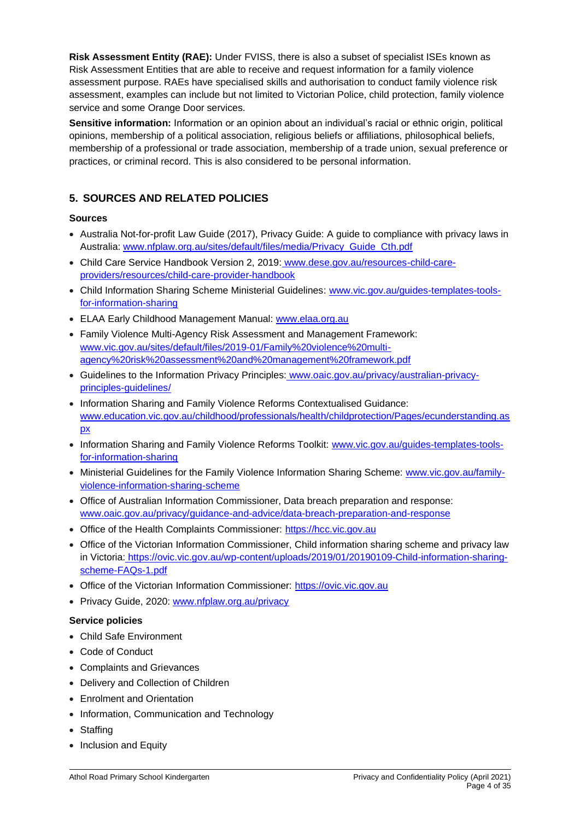**Risk Assessment Entity (RAE):** Under FVISS, there is also a subset of specialist ISEs known as Risk Assessment Entities that are able to receive and request information for a family violence assessment purpose. RAEs have specialised skills and authorisation to conduct family violence risk assessment, examples can include but not limited to Victorian Police, child protection, family violence service and some Orange Door services.

**Sensitive information:** Information or an opinion about an individual's racial or ethnic origin, political opinions, membership of a political association, religious beliefs or affiliations, philosophical beliefs, membership of a professional or trade association, membership of a trade union, sexual preference or practices, or criminal record. This is also considered to be personal information.

# **5. SOURCES AND RELATED POLICIES**

# **Sources**

- Australia Not-for-profit Law Guide (2017), Privacy Guide: A guide to compliance with privacy laws in Australia: [www.nfplaw.org.au/sites/default/files/media/Privacy\\_Guide\\_Cth.pdf](http://www.nfplaw.org.au/sites/default/files/media/Privacy_Guide_Cth.pdf)
- Child Care Service Handbook Version 2, 2019: [www.dese.gov.au/resources-child-care](http://www.dese.gov.au/resources-child-care-providers/resources/child-care-provider-handbook)[providers/resources/child-care-provider-handbook](http://www.dese.gov.au/resources-child-care-providers/resources/child-care-provider-handbook)
- Child Information Sharing Scheme Ministerial Guidelines: [www.vic.gov.au/guides-templates-tools](http://www.vic.gov.au/guides-templates-tools-for-information-sharing)[for-information-sharing](http://www.vic.gov.au/guides-templates-tools-for-information-sharing)
- ELAA Early Childhood Management Manual: [www.elaa.org.au](http://www.elaa.org.au/)
- Family Violence Multi-Agency Risk Assessment and Management Framework: [www.vic.gov.au/sites/default/files/2019-01/Family%20violence%20multi](http://www.vic.gov.au/sites/default/files/2019-01/Family%20violence%20multi-agency%20risk%20assessment%20and%20management%20framework.pdf)[agency%20risk%20assessment%20and%20management%20framework.pdf](http://www.vic.gov.au/sites/default/files/2019-01/Family%20violence%20multi-agency%20risk%20assessment%20and%20management%20framework.pdf)
- Guidelines to the Information Privacy Principles: [www.oaic.gov.au/privacy/australian-privacy](http://www.oaic.gov.au/privacy/australian-privacy-principles-guidelines/)[principles-guidelines/](http://www.oaic.gov.au/privacy/australian-privacy-principles-guidelines/)
- Information Sharing and Family Violence Reforms Contextualised Guidance: [www.education.vic.gov.au/childhood/professionals/health/childprotection/Pages/ecunderstanding.as](http://www.education.vic.gov.au/childhood/professionals/health/childprotection/Pages/ecunderstanding.aspx) [px](http://www.education.vic.gov.au/childhood/professionals/health/childprotection/Pages/ecunderstanding.aspx)
- Information Sharing and Family Violence Reforms Toolkit: [www.vic.gov.au/guides-templates-tools](http://www.vic.gov.au/guides-templates-tools-for-information-sharing)[for-information-sharing](http://www.vic.gov.au/guides-templates-tools-for-information-sharing)
- Ministerial Guidelines for the Family Violence Information Sharing Scheme: [www.vic.gov.au/family](http://www.vic.gov.au/family-violence-information-sharing-scheme)[violence-information-sharing-scheme](http://www.vic.gov.au/family-violence-information-sharing-scheme)
- Office of Australian Information Commissioner, Data breach preparation and response: [www.oaic.gov.au/privacy/guidance-and-advice/data-breach-preparation-and-response](http://www.oaic.gov.au/privacy/guidance-and-advice/data-breach-preparation-and-response)
- Office of the Health Complaints Commissioner: [https://hcc.vic.gov.au](https://hcc.vic.gov.au/)
- Office of the Victorian Information Commissioner, Child information sharing scheme and privacy law in Victoria: [https://ovic.vic.gov.au/wp-content/uploads/2019/01/20190109-Child-information-sharing](https://ovic.vic.gov.au/wp-content/uploads/2019/01/20190109-Child-information-sharing-scheme-FAQs-1.pdf)[scheme-FAQs-1.pdf](https://ovic.vic.gov.au/wp-content/uploads/2019/01/20190109-Child-information-sharing-scheme-FAQs-1.pdf)
- Office of the Victorian Information Commissioner: [https://ovic.vic.gov.au](https://ovic.vic.gov.au/)
- Privacy Guide, 2020: [www.nfplaw.org.au/privacy](http://www.nfplaw.org.au/privacy)

# **Service policies**

- Child Safe Environment
- Code of Conduct
- Complaints and Grievances
- Delivery and Collection of Children
- Enrolment and Orientation
- Information, Communication and Technology
- Staffing
- Inclusion and Equity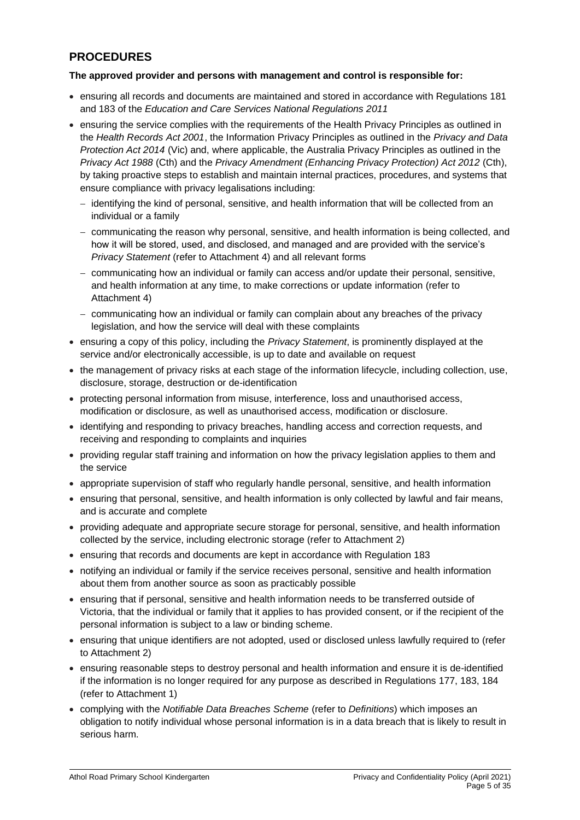# **PROCEDURES**

## **The approved provider and persons with management and control is responsible for:**

- ensuring all records and documents are maintained and stored in accordance with Regulations 181 and 183 of the *Education and Care Services National Regulations 2011*
- ensuring the service complies with the requirements of the Health Privacy Principles as outlined in the *Health Records Act 2001*, the Information Privacy Principles as outlined in the *Privacy and Data Protection Act 2014* (Vic) and, where applicable, the Australia Privacy Principles as outlined in the *Privacy Act 1988* (Cth) and the *Privacy Amendment (Enhancing Privacy Protection) Act 2012* (Cth), by taking proactive steps to establish and maintain internal practices, procedures, and systems that ensure compliance with privacy legalisations including:
	- − identifying the kind of personal, sensitive, and health information that will be collected from an individual or a family
	- − communicating the reason why personal, sensitive, and health information is being collected, and how it will be stored, used, and disclosed, and managed and are provided with the service's *Privacy Statement* (refer to Attachment 4) and all relevant forms
	- − communicating how an individual or family can access and/or update their personal, sensitive, and health information at any time, to make corrections or update information (refer to Attachment 4)
	- − communicating how an individual or family can complain about any breaches of the privacy legislation, and how the service will deal with these complaints
- ensuring a copy of this policy, including the *Privacy Statement*, is prominently displayed at the service and/or electronically accessible, is up to date and available on request
- the management of privacy risks at each stage of the information lifecycle, including collection, use, disclosure, storage, destruction or de-identification
- protecting personal information from misuse, interference, loss and unauthorised access, modification or disclosure, as well as unauthorised access, modification or disclosure.
- identifying and responding to privacy breaches, handling access and correction requests, and receiving and responding to complaints and inquiries
- providing regular staff training and information on how the privacy legislation applies to them and the service
- appropriate supervision of staff who regularly handle personal, sensitive, and health information
- ensuring that personal, sensitive, and health information is only collected by lawful and fair means, and is accurate and complete
- providing adequate and appropriate secure storage for personal, sensitive, and health information collected by the service, including electronic storage (refer to Attachment 2)
- ensuring that records and documents are kept in accordance with Regulation 183
- notifying an individual or family if the service receives personal, sensitive and health information about them from another source as soon as practicably possible
- ensuring that if personal, sensitive and health information needs to be transferred outside of Victoria, that the individual or family that it applies to has provided consent, or if the recipient of the personal information is subject to a law or binding scheme.
- ensuring that unique identifiers are not adopted, used or disclosed unless lawfully required to (refer to Attachment 2)
- ensuring reasonable steps to destroy personal and health information and ensure it is de-identified if the information is no longer required for any purpose as described in Regulations 177, 183, 184 (refer to Attachment 1)
- complying with the *Notifiable Data Breaches Scheme* (refer to *Definitions*) which imposes an obligation to notify individual whose personal information is in a data breach that is likely to result in serious harm.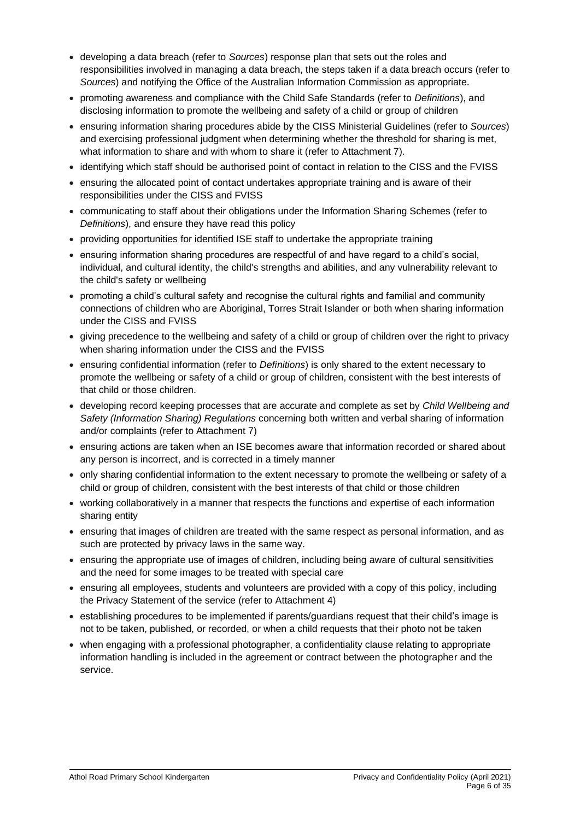- developing a data breach (refer to *Sources*) response plan that sets out the roles and responsibilities involved in managing a data breach, the steps taken if a data breach occurs (refer to *Sources*) and notifying the Office of the Australian Information Commission as appropriate.
- promoting awareness and compliance with the Child Safe Standards (refer to *Definitions*), and disclosing information to promote the wellbeing and safety of a child or group of children
- ensuring information sharing procedures abide by the CISS Ministerial Guidelines (refer to *Sources*) and exercising professional judgment when determining whether the threshold for sharing is met, what information to share and with whom to share it (refer to Attachment 7).
- identifying which staff should be authorised point of contact in relation to the CISS and the FVISS
- ensuring the allocated point of contact undertakes appropriate training and is aware of their responsibilities under the CISS and FVISS
- communicating to staff about their obligations under the Information Sharing Schemes (refer to *Definitions*), and ensure they have read this policy
- providing opportunities for identified ISE staff to undertake the appropriate training
- ensuring information sharing procedures are respectful of and have regard to a child's social, individual, and cultural identity, the child's strengths and abilities, and any vulnerability relevant to the child's safety or wellbeing
- promoting a child's cultural safety and recognise the cultural rights and familial and community connections of children who are Aboriginal, Torres Strait Islander or both when sharing information under the CISS and FVISS
- giving precedence to the wellbeing and safety of a child or group of children over the right to privacy when sharing information under the CISS and the FVISS
- ensuring confidential information (refer to *Definitions*) is only shared to the extent necessary to promote the wellbeing or safety of a child or group of children, consistent with the best interests of that child or those children.
- developing record keeping processes that are accurate and complete as set by *Child Wellbeing and Safety (Information Sharing) Regulations* concerning both written and verbal sharing of information and/or complaints (refer to Attachment 7)
- ensuring actions are taken when an ISE becomes aware that information recorded or shared about any person is incorrect, and is corrected in a timely manner
- only sharing confidential information to the extent necessary to promote the wellbeing or safety of a child or group of children, consistent with the best interests of that child or those children
- working collaboratively in a manner that respects the functions and expertise of each information sharing entity
- ensuring that images of children are treated with the same respect as personal information, and as such are protected by privacy laws in the same way.
- ensuring the appropriate use of images of children, including being aware of cultural sensitivities and the need for some images to be treated with special care
- ensuring all employees, students and volunteers are provided with a copy of this policy, including the Privacy Statement of the service (refer to Attachment 4)
- establishing procedures to be implemented if parents/guardians request that their child's image is not to be taken, published, or recorded, or when a child requests that their photo not be taken
- when engaging with a professional photographer, a confidentiality clause relating to appropriate information handling is included in the agreement or contract between the photographer and the service.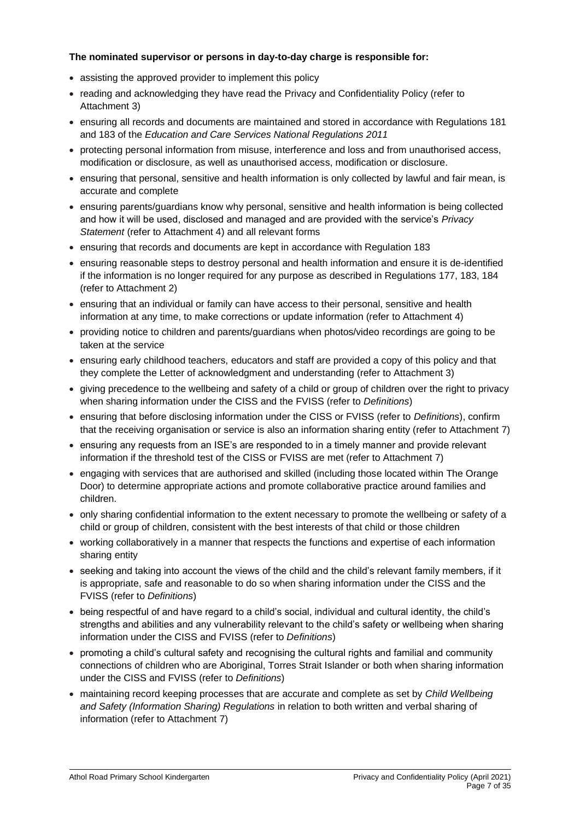# **The nominated supervisor or persons in day-to-day charge is responsible for:**

- assisting the approved provider to implement this policy
- reading and acknowledging they have read the Privacy and Confidentiality Policy (refer to Attachment 3)
- ensuring all records and documents are maintained and stored in accordance with Regulations 181 and 183 of the *Education and Care Services National Regulations 2011*
- protecting personal information from misuse, interference and loss and from unauthorised access, modification or disclosure, as well as unauthorised access, modification or disclosure.
- ensuring that personal, sensitive and health information is only collected by lawful and fair mean, is accurate and complete
- ensuring parents/guardians know why personal, sensitive and health information is being collected and how it will be used, disclosed and managed and are provided with the service's *Privacy Statement* (refer to Attachment 4) and all relevant forms
- ensuring that records and documents are kept in accordance with Regulation 183
- ensuring reasonable steps to destroy personal and health information and ensure it is de-identified if the information is no longer required for any purpose as described in Regulations 177, 183, 184 (refer to Attachment 2)
- ensuring that an individual or family can have access to their personal, sensitive and health information at any time, to make corrections or update information (refer to Attachment 4)
- providing notice to children and parents/guardians when photos/video recordings are going to be taken at the service
- ensuring early childhood teachers, educators and staff are provided a copy of this policy and that they complete the Letter of acknowledgment and understanding (refer to Attachment 3)
- giving precedence to the wellbeing and safety of a child or group of children over the right to privacy when sharing information under the CISS and the FVISS (refer to *Definitions*)
- ensuring that before disclosing information under the CISS or FVISS (refer to *Definitions*), confirm that the receiving organisation or service is also an information sharing entity (refer to Attachment 7)
- ensuring any requests from an ISE's are responded to in a timely manner and provide relevant information if the threshold test of the CISS or FVISS are met (refer to Attachment 7)
- engaging with services that are authorised and skilled (including those located within The Orange Door) to determine appropriate actions and promote collaborative practice around families and children.
- only sharing confidential information to the extent necessary to promote the wellbeing or safety of a child or group of children, consistent with the best interests of that child or those children
- working collaboratively in a manner that respects the functions and expertise of each information sharing entity
- seeking and taking into account the views of the child and the child's relevant family members, if it is appropriate, safe and reasonable to do so when sharing information under the CISS and the FVISS (refer to *Definitions*)
- being respectful of and have regard to a child's social, individual and cultural identity, the child's strengths and abilities and any vulnerability relevant to the child's safety or wellbeing when sharing information under the CISS and FVISS (refer to *Definitions*)
- promoting a child's cultural safety and recognising the cultural rights and familial and community connections of children who are Aboriginal, Torres Strait Islander or both when sharing information under the CISS and FVISS (refer to *Definitions*)
- maintaining record keeping processes that are accurate and complete as set by *Child Wellbeing and Safety (Information Sharing) Regulations* in relation to both written and verbal sharing of information (refer to Attachment 7)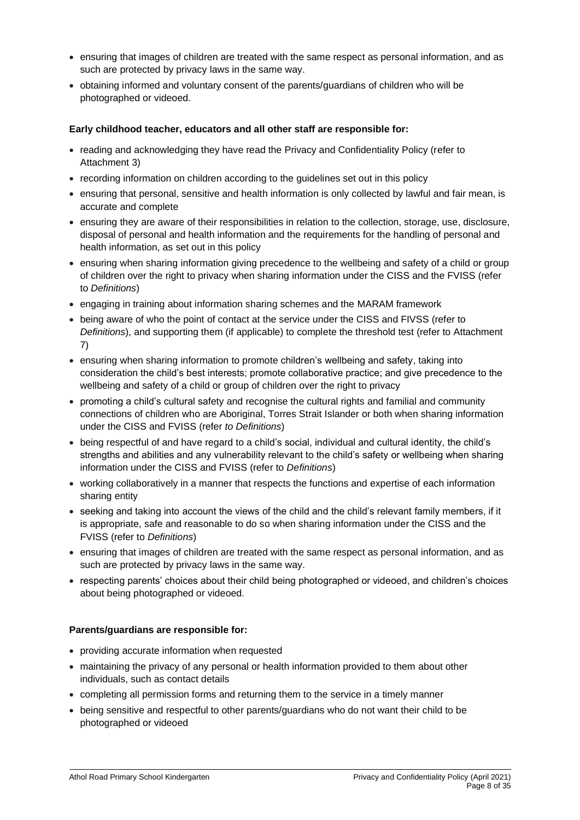- ensuring that images of children are treated with the same respect as personal information, and as such are protected by privacy laws in the same way.
- obtaining informed and voluntary consent of the parents/guardians of children who will be photographed or videoed.

## **Early childhood teacher, educators and all other staff are responsible for:**

- reading and acknowledging they have read the Privacy and Confidentiality Policy (refer to Attachment 3)
- recording information on children according to the guidelines set out in this policy
- ensuring that personal, sensitive and health information is only collected by lawful and fair mean, is accurate and complete
- ensuring they are aware of their responsibilities in relation to the collection, storage, use, disclosure, disposal of personal and health information and the requirements for the handling of personal and health information, as set out in this policy
- ensuring when sharing information giving precedence to the wellbeing and safety of a child or group of children over the right to privacy when sharing information under the CISS and the FVISS (refer to *Definitions*)
- engaging in training about information sharing schemes and the MARAM framework
- being aware of who the point of contact at the service under the CISS and FIVSS (refer to *Definitions*), and supporting them (if applicable) to complete the threshold test (refer to Attachment 7)
- ensuring when sharing information to promote children's wellbeing and safety, taking into consideration the child's best interests; promote collaborative practice; and give precedence to the wellbeing and safety of a child or group of children over the right to privacy
- promoting a child's cultural safety and recognise the cultural rights and familial and community connections of children who are Aboriginal, Torres Strait Islander or both when sharing information under the CISS and FVISS (refer *to Definitions*)
- being respectful of and have regard to a child's social, individual and cultural identity, the child's strengths and abilities and any vulnerability relevant to the child's safety or wellbeing when sharing information under the CISS and FVISS (refer to *Definitions*)
- working collaboratively in a manner that respects the functions and expertise of each information sharing entity
- seeking and taking into account the views of the child and the child's relevant family members, if it is appropriate, safe and reasonable to do so when sharing information under the CISS and the FVISS (refer to *Definitions*)
- ensuring that images of children are treated with the same respect as personal information, and as such are protected by privacy laws in the same way.
- respecting parents' choices about their child being photographed or videoed, and children's choices about being photographed or videoed.

### **Parents/guardians are responsible for:**

- providing accurate information when requested
- maintaining the privacy of any personal or health information provided to them about other individuals, such as contact details
- completing all permission forms and returning them to the service in a timely manner
- being sensitive and respectful to other parents/guardians who do not want their child to be photographed or videoed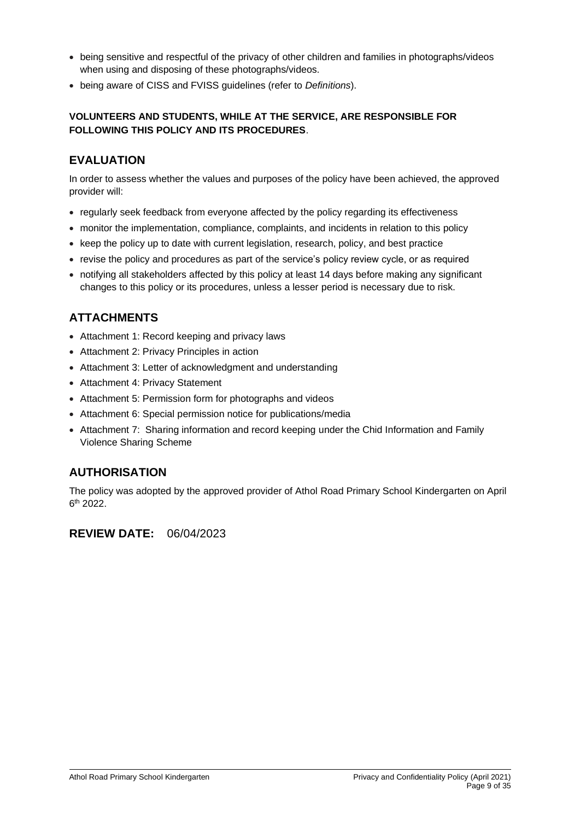- being sensitive and respectful of the privacy of other children and families in photographs/videos when using and disposing of these photographs/videos.
- being aware of CISS and FVISS guidelines (refer to *Definitions*).

# **VOLUNTEERS AND STUDENTS, WHILE AT THE SERVICE, ARE RESPONSIBLE FOR FOLLOWING THIS POLICY AND ITS PROCEDURES**.

# **EVALUATION**

In order to assess whether the values and purposes of the policy have been achieved, the approved provider will:

- regularly seek feedback from everyone affected by the policy regarding its effectiveness
- monitor the implementation, compliance, complaints, and incidents in relation to this policy
- keep the policy up to date with current legislation, research, policy, and best practice
- revise the policy and procedures as part of the service's policy review cycle, or as required
- notifying all stakeholders affected by this policy at least 14 days before making any significant changes to this policy or its procedures, unless a lesser period is necessary due to risk.

# **ATTACHMENTS**

- Attachment 1: Record keeping and privacy laws
- Attachment 2: Privacy Principles in action
- Attachment 3: Letter of acknowledgment and understanding
- Attachment 4: Privacy Statement
- Attachment 5: Permission form for photographs and videos
- Attachment 6: Special permission notice for publications/media
- Attachment 7: Sharing information and record keeping under the Chid Information and Family Violence Sharing Scheme

# **AUTHORISATION**

The policy was adopted by the approved provider of Athol Road Primary School Kindergarten on April 6 th 2022.

# **REVIEW DATE:** 06/04/2023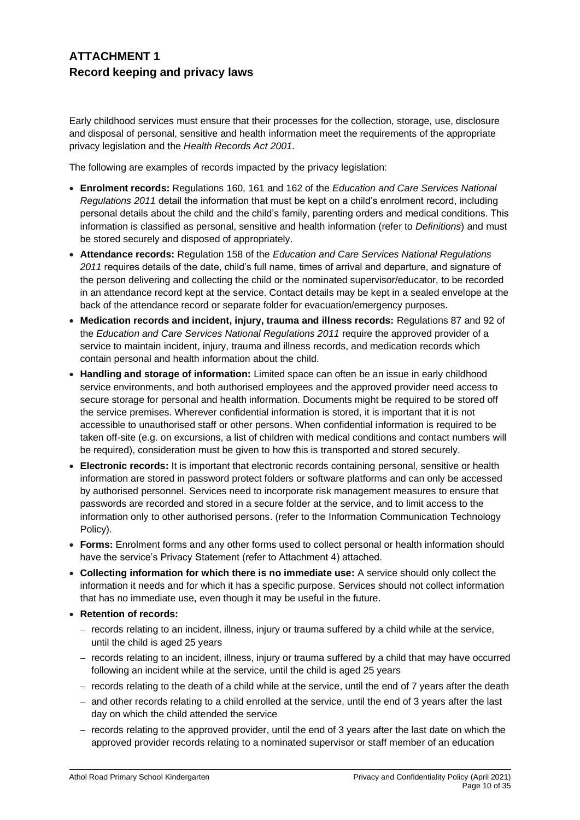# **ATTACHMENT 1 Record keeping and privacy laws**

Early childhood services must ensure that their processes for the collection, storage, use, disclosure and disposal of personal, sensitive and health information meet the requirements of the appropriate privacy legislation and the *Health Records Act 2001*.

The following are examples of records impacted by the privacy legislation:

- **Enrolment records:** Regulations 160, 161 and 162 of the *Education and Care Services National Regulations 2011* detail the information that must be kept on a child's enrolment record, including personal details about the child and the child's family, parenting orders and medical conditions. This information is classified as personal, sensitive and health information (refer to *Definitions*) and must be stored securely and disposed of appropriately.
- **Attendance records:** Regulation 158 of the *Education and Care Services National Regulations 2011* requires details of the date, child's full name, times of arrival and departure, and signature of the person delivering and collecting the child or the nominated supervisor/educator, to be recorded in an attendance record kept at the service. Contact details may be kept in a sealed envelope at the back of the attendance record or separate folder for evacuation/emergency purposes.
- **Medication records and incident, injury, trauma and illness records:** Regulations 87 and 92 of the *Education and Care Services National Regulations 2011* require the approved provider of a service to maintain incident, injury, trauma and illness records, and medication records which contain personal and health information about the child.
- **Handling and storage of information:** Limited space can often be an issue in early childhood service environments, and both authorised employees and the approved provider need access to secure storage for personal and health information. Documents might be required to be stored off the service premises. Wherever confidential information is stored, it is important that it is not accessible to unauthorised staff or other persons. When confidential information is required to be taken off-site (e.g. on excursions, a list of children with medical conditions and contact numbers will be required), consideration must be given to how this is transported and stored securely.
- **Electronic records:** It is important that electronic records containing personal, sensitive or health information are stored in password protect folders or software platforms and can only be accessed by authorised personnel. Services need to incorporate risk management measures to ensure that passwords are recorded and stored in a secure folder at the service, and to limit access to the information only to other authorised persons. (refer to the Information Communication Technology Policy).
- **Forms:** Enrolment forms and any other forms used to collect personal or health information should have the service's Privacy Statement (refer to Attachment 4) attached.
- **Collecting information for which there is no immediate use:** A service should only collect the information it needs and for which it has a specific purpose. Services should not collect information that has no immediate use, even though it may be useful in the future.
- **Retention of records:** 
	- − records relating to an incident, illness, injury or trauma suffered by a child while at the service, until the child is aged 25 years
	- − records relating to an incident, illness, injury or trauma suffered by a child that may have occurred following an incident while at the service, until the child is aged 25 years
	- − records relating to the death of a child while at the service, until the end of 7 years after the death
	- − and other records relating to a child enrolled at the service, until the end of 3 years after the last day on which the child attended the service
	- − records relating to the approved provider, until the end of 3 years after the last date on which the approved provider records relating to a nominated supervisor or staff member of an education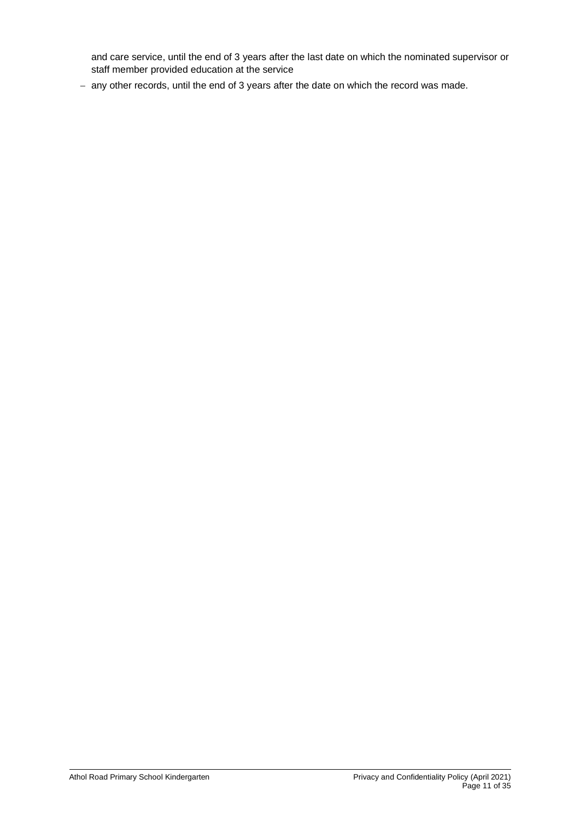and care service, until the end of 3 years after the last date on which the nominated supervisor or staff member provided education at the service

− any other records, until the end of 3 years after the date on which the record was made.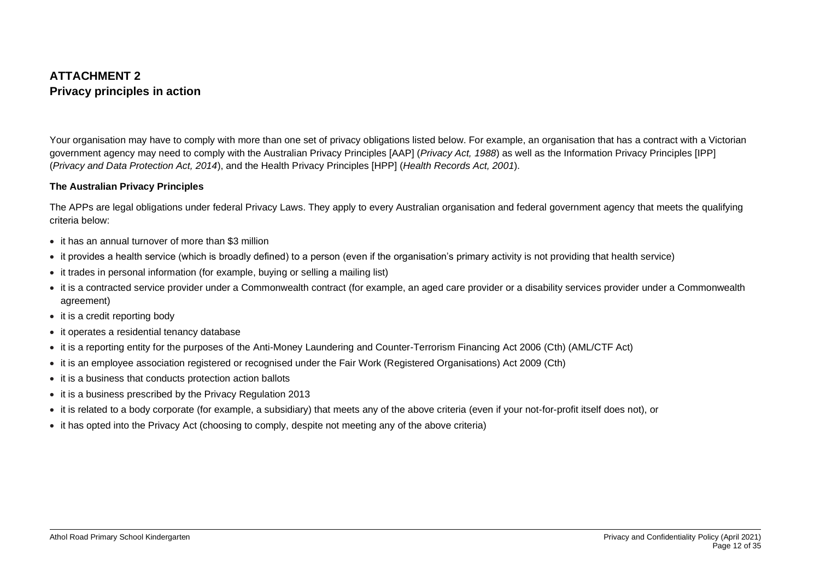# **ATTACHMENT 2 Privacy principles in action**

Your organisation may have to comply with more than one set of privacy obligations listed below. For example, an organisation that has a contract with a Victorian government agency may need to comply with the Australian Privacy Principles [AAP] (*Privacy Act, 1988*) as well as the Information Privacy Principles [IPP] (*Privacy and Data Protection Act, 2014*), and the Health Privacy Principles [HPP] (*Health Records Act, 2001*).

## **The Australian Privacy Principles**

The APPs are legal obligations under federal Privacy Laws. They apply to every Australian organisation and federal government agency that meets the qualifying criteria below:

- it has an annual turnover of more than \$3 million
- it provides a health service (which is broadly defined) to a person (even if the organisation's primary activity is not providing that health service)
- it trades in personal information (for example, buying or selling a mailing list)
- it is a contracted service provider under a Commonwealth contract (for example, an aged care provider or a disability services provider under a Commonwealth agreement)
- it is a credit reporting body
- it operates a residential tenancy database
- it is a reporting entity for the purposes of the Anti-Money Laundering and Counter-Terrorism Financing Act 2006 (Cth) (AML/CTF Act)
- it is an employee association registered or recognised under the Fair Work (Registered Organisations) Act 2009 (Cth)
- it is a business that conducts protection action ballots
- it is a business prescribed by the Privacy Regulation 2013
- it is related to a body corporate (for example, a subsidiary) that meets any of the above criteria (even if your not-for-profit itself does not), or
- it has opted into the Privacy Act (choosing to comply, despite not meeting any of the above criteria)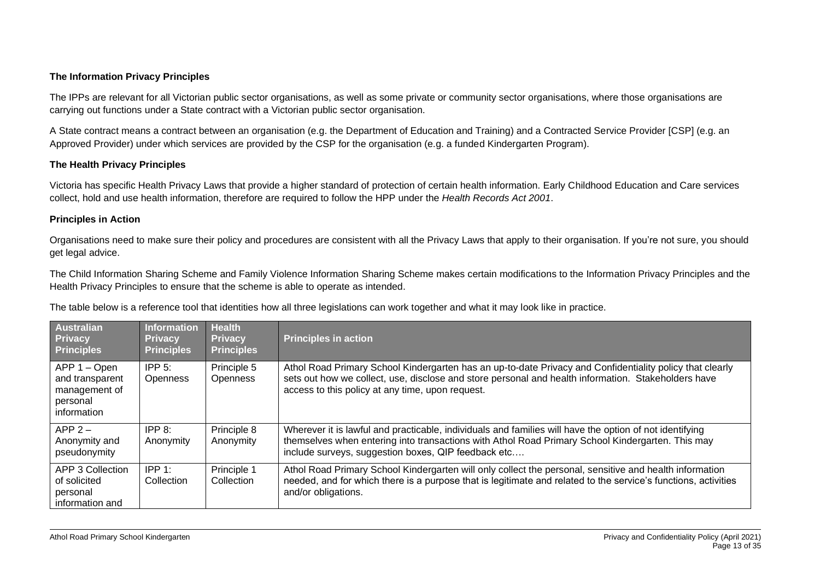## **The Information Privacy Principles**

The IPPs are relevant for all Victorian public sector organisations, as well as some private or community sector organisations, where those organisations are carrying out functions under a State contract with a Victorian public sector organisation.

A State contract means a contract between an organisation (e.g. the Department of Education and Training) and a Contracted Service Provider [CSP] (e.g. an Approved Provider) under which services are provided by the CSP for the organisation (e.g. a funded Kindergarten Program).

## **The Health Privacy Principles**

Victoria has specific Health Privacy Laws that provide a higher standard of protection of certain health information. Early Childhood Education and Care services collect, hold and use health information, therefore are required to follow the HPP under the *Health Records Act 2001*.

### **Principles in Action**

Organisations need to make sure their policy and procedures are consistent with all the Privacy Laws that apply to their organisation. If you're not sure, you should get legal advice.

The Child Information Sharing Scheme and Family Violence Information Sharing Scheme makes certain modifications to the Information Privacy Principles and the Health Privacy Principles to ensure that the scheme is able to operate as intended.

The table below is a reference tool that identities how all three legislations can work together and what it may look like in practice.

| Australian<br><b>Privacy</b><br><b>Principles</b>                           | <b>Information</b><br><b>Privacy</b><br><b>Principles</b> | <b>Health</b><br><b>Privacy</b><br><b>Principles</b> | <b>Principles in action</b>                                                                                                                                                                                                                                         |
|-----------------------------------------------------------------------------|-----------------------------------------------------------|------------------------------------------------------|---------------------------------------------------------------------------------------------------------------------------------------------------------------------------------------------------------------------------------------------------------------------|
| APP 1 - Open<br>and transparent<br>management of<br>personal<br>information | IPP $5$ :<br><b>Openness</b>                              | Principle 5<br><b>Openness</b>                       | Athol Road Primary School Kindergarten has an up-to-date Privacy and Confidentiality policy that clearly<br>sets out how we collect, use, disclose and store personal and health information. Stakeholders have<br>access to this policy at any time, upon request. |
| $APP 2 -$<br>Anonymity and<br>pseudonymity                                  | IPP 8:<br>Anonymity                                       | Principle 8<br>Anonymity                             | Wherever it is lawful and practicable, individuals and families will have the option of not identifying<br>themselves when entering into transactions with Athol Road Primary School Kindergarten. This may<br>include surveys, suggestion boxes, QIP feedback etc  |
| <b>APP 3 Collection</b><br>of solicited<br>personal<br>information and      | $IPP_1$ :<br><b>Collection</b>                            | Principle 1<br>Collection                            | Athol Road Primary School Kindergarten will only collect the personal, sensitive and health information<br>needed, and for which there is a purpose that is legitimate and related to the service's functions, activities<br>and/or obligations.                    |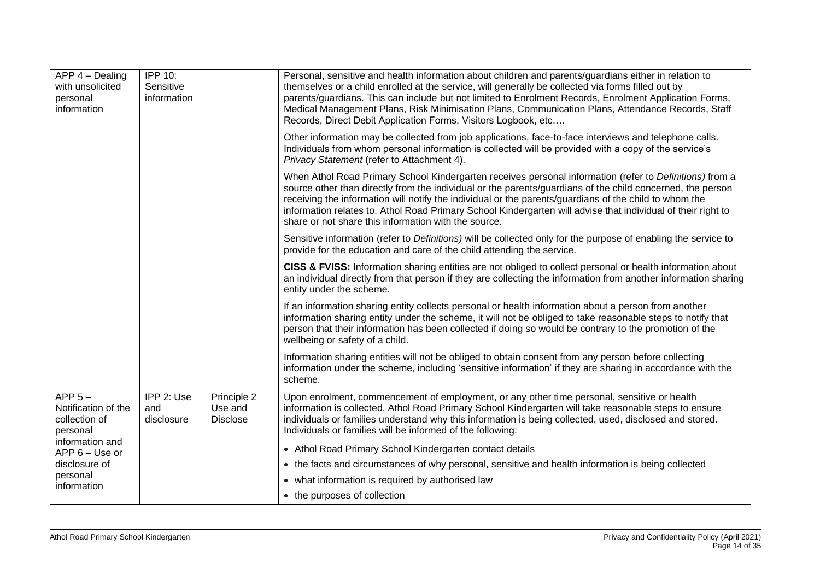| APP 4 - Dealing<br>with unsolicited<br>personal<br>information | <b>IPP 10:</b><br>Sensitive<br>information |                                           | Personal, sensitive and health information about children and parents/guardians either in relation to<br>themselves or a child enrolled at the service, will generally be collected via forms filled out by<br>parents/guardians. This can include but not limited to Enrolment Records, Enrolment Application Forms,<br>Medical Management Plans, Risk Minimisation Plans, Communication Plans, Attendance Records, Staff<br>Records, Direct Debit Application Forms, Visitors Logbook, etc            |
|----------------------------------------------------------------|--------------------------------------------|-------------------------------------------|---------------------------------------------------------------------------------------------------------------------------------------------------------------------------------------------------------------------------------------------------------------------------------------------------------------------------------------------------------------------------------------------------------------------------------------------------------------------------------------------------------|
|                                                                |                                            |                                           | Other information may be collected from job applications, face-to-face interviews and telephone calls.<br>Individuals from whom personal information is collected will be provided with a copy of the service's<br>Privacy Statement (refer to Attachment 4).                                                                                                                                                                                                                                           |
|                                                                |                                            |                                           | When Athol Road Primary School Kindergarten receives personal information (refer to Definitions) from a<br>source other than directly from the individual or the parents/guardians of the child concerned, the person<br>receiving the information will notify the individual or the parents/guardians of the child to whom the<br>information relates to. Athol Road Primary School Kindergarten will advise that individual of their right to<br>share or not share this information with the source. |
|                                                                |                                            |                                           | Sensitive information (refer to Definitions) will be collected only for the purpose of enabling the service to<br>provide for the education and care of the child attending the service.                                                                                                                                                                                                                                                                                                                |
|                                                                |                                            |                                           | CISS & FVISS: Information sharing entities are not obliged to collect personal or health information about<br>an individual directly from that person if they are collecting the information from another information sharing<br>entity under the scheme.                                                                                                                                                                                                                                               |
|                                                                |                                            |                                           | If an information sharing entity collects personal or health information about a person from another<br>information sharing entity under the scheme, it will not be obliged to take reasonable steps to notify that<br>person that their information has been collected if doing so would be contrary to the promotion of the<br>wellbeing or safety of a child.                                                                                                                                        |
|                                                                |                                            |                                           | Information sharing entities will not be obliged to obtain consent from any person before collecting<br>information under the scheme, including 'sensitive information' if they are sharing in accordance with the<br>scheme.                                                                                                                                                                                                                                                                           |
| APP $5-$<br>Notification of the<br>collection of<br>personal   | IPP 2: Use<br>and<br>disclosure            | Principle 2<br>Use and<br><b>Disclose</b> | Upon enrolment, commencement of employment, or any other time personal, sensitive or health<br>information is collected, Athol Road Primary School Kindergarten will take reasonable steps to ensure<br>individuals or families understand why this information is being collected, used, disclosed and stored.<br>Individuals or families will be informed of the following:                                                                                                                           |
| information and<br>APP 6 - Use or                              |                                            |                                           | • Athol Road Primary School Kindergarten contact details                                                                                                                                                                                                                                                                                                                                                                                                                                                |
| disclosure of                                                  |                                            |                                           | • the facts and circumstances of why personal, sensitive and health information is being collected                                                                                                                                                                                                                                                                                                                                                                                                      |
| personal<br>information                                        |                                            |                                           | • what information is required by authorised law                                                                                                                                                                                                                                                                                                                                                                                                                                                        |
|                                                                |                                            |                                           | • the purposes of collection                                                                                                                                                                                                                                                                                                                                                                                                                                                                            |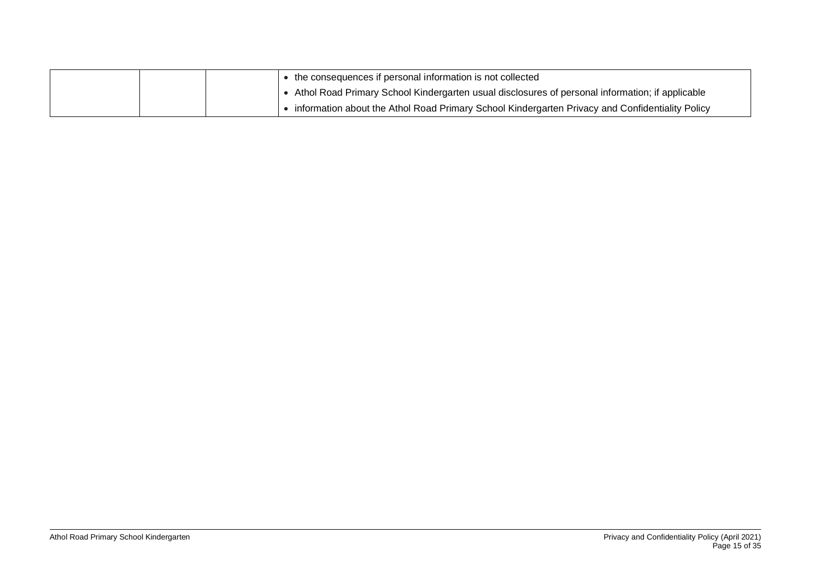|  | • the consequences if personal information is not collected                                     |
|--|-------------------------------------------------------------------------------------------------|
|  | Athol Road Primary School Kindergarten usual disclosures of personal information; if applicable |
|  | information about the Athol Road Primary School Kindergarten Privacy and Confidentiality Policy |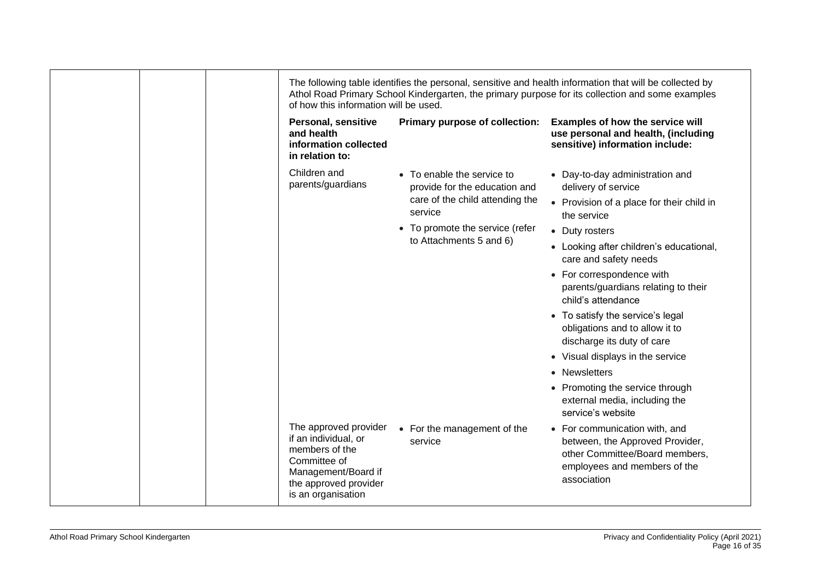| of how this information will be used.                                                                                                                 |                                                             |                                                                                                                                                   |
|-------------------------------------------------------------------------------------------------------------------------------------------------------|-------------------------------------------------------------|---------------------------------------------------------------------------------------------------------------------------------------------------|
| Personal, sensitive<br>and health<br>information collected<br>in relation to:                                                                         | Primary purpose of collection:                              | Examples of how the service will<br>use personal and health, (including<br>sensitive) information include:                                        |
| Children and<br>parents/guardians                                                                                                                     | • To enable the service to<br>provide for the education and | • Day-to-day administration and<br>delivery of service                                                                                            |
|                                                                                                                                                       | care of the child attending the<br>service                  | • Provision of a place for their child in<br>the service                                                                                          |
|                                                                                                                                                       | • To promote the service (refer                             | • Duty rosters                                                                                                                                    |
|                                                                                                                                                       | to Attachments 5 and 6)                                     | • Looking after children's educational,<br>care and safety needs                                                                                  |
|                                                                                                                                                       |                                                             | • For correspondence with<br>parents/guardians relating to their<br>child's attendance                                                            |
|                                                                                                                                                       |                                                             | • To satisfy the service's legal<br>obligations and to allow it to<br>discharge its duty of care                                                  |
|                                                                                                                                                       |                                                             | • Visual displays in the service                                                                                                                  |
|                                                                                                                                                       |                                                             | • Newsletters                                                                                                                                     |
|                                                                                                                                                       |                                                             | • Promoting the service through<br>external media, including the<br>service's website                                                             |
| The approved provider<br>if an individual, or<br>members of the<br>Committee of<br>Management/Board if<br>the approved provider<br>is an organisation | • For the management of the<br>service                      | • For communication with, and<br>between, the Approved Provider,<br>other Committee/Board members,<br>employees and members of the<br>association |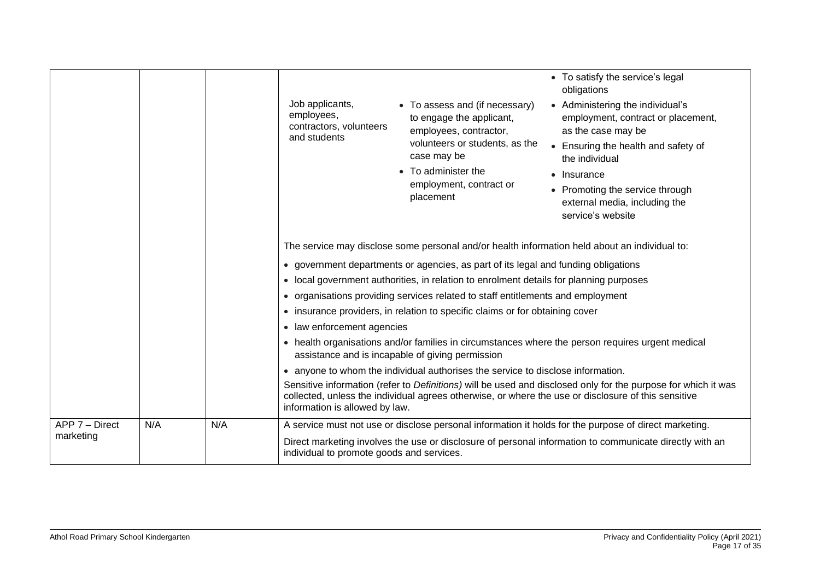|                             |     |     | Job applicants,<br>employees,<br>contractors, volunteers<br>and students                                                                                        | • To assess and (if necessary)<br>to engage the applicant,<br>employees, contractor,<br>volunteers or students, as the<br>case may be<br>• To administer the<br>employment, contract or<br>placement                                                                          | • To satisfy the service's legal<br>obligations<br>• Administering the individual's<br>employment, contract or placement,<br>as the case may be<br>• Ensuring the health and safety of<br>the individual<br>• Insurance<br>• Promoting the service through<br>external media, including the<br>service's website |  |
|-----------------------------|-----|-----|-----------------------------------------------------------------------------------------------------------------------------------------------------------------|-------------------------------------------------------------------------------------------------------------------------------------------------------------------------------------------------------------------------------------------------------------------------------|------------------------------------------------------------------------------------------------------------------------------------------------------------------------------------------------------------------------------------------------------------------------------------------------------------------|--|
|                             |     |     |                                                                                                                                                                 | The service may disclose some personal and/or health information held about an individual to:<br>• government departments or agencies, as part of its legal and funding obligations<br>• local government authorities, in relation to enrolment details for planning purposes |                                                                                                                                                                                                                                                                                                                  |  |
|                             |     |     | • organisations providing services related to staff entitlements and employment<br>• insurance providers, in relation to specific claims or for obtaining cover |                                                                                                                                                                                                                                                                               |                                                                                                                                                                                                                                                                                                                  |  |
|                             |     |     | • law enforcement agencies                                                                                                                                      |                                                                                                                                                                                                                                                                               |                                                                                                                                                                                                                                                                                                                  |  |
|                             |     |     |                                                                                                                                                                 | assistance and is incapable of giving permission                                                                                                                                                                                                                              | • health organisations and/or families in circumstances where the person requires urgent medical                                                                                                                                                                                                                 |  |
|                             |     |     | • anyone to whom the individual authorises the service to disclose information.                                                                                 |                                                                                                                                                                                                                                                                               |                                                                                                                                                                                                                                                                                                                  |  |
|                             |     |     | information is allowed by law.                                                                                                                                  |                                                                                                                                                                                                                                                                               | Sensitive information (refer to Definitions) will be used and disclosed only for the purpose for which it was<br>collected, unless the individual agrees otherwise, or where the use or disclosure of this sensitive                                                                                             |  |
| APP 7 - Direct<br>marketing | N/A | N/A | individual to promote goods and services.                                                                                                                       |                                                                                                                                                                                                                                                                               | A service must not use or disclose personal information it holds for the purpose of direct marketing.<br>Direct marketing involves the use or disclosure of personal information to communicate directly with an                                                                                                 |  |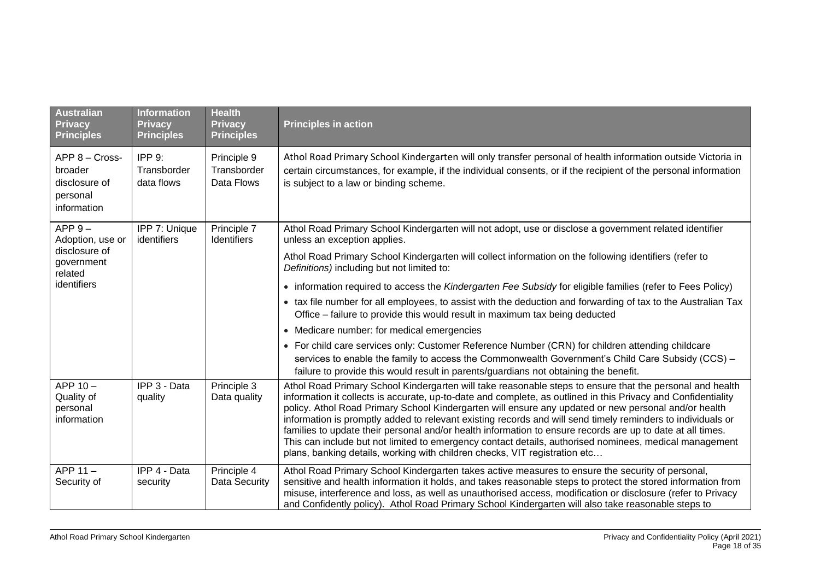| <b>Australian</b><br><b>Privacy</b><br><b>Principles</b>              | <b>Information</b><br><b>Privacy</b><br><b>Principles</b> | <b>Health</b><br><b>Privacy</b><br><b>Principles</b> | <b>Principles in action</b>                                                                                                                                                                                                                                                                                                                                                                                                                                                                                                                                                                                                                                                                                                                            |
|-----------------------------------------------------------------------|-----------------------------------------------------------|------------------------------------------------------|--------------------------------------------------------------------------------------------------------------------------------------------------------------------------------------------------------------------------------------------------------------------------------------------------------------------------------------------------------------------------------------------------------------------------------------------------------------------------------------------------------------------------------------------------------------------------------------------------------------------------------------------------------------------------------------------------------------------------------------------------------|
| APP 8 - Cross-<br>broader<br>disclosure of<br>personal<br>information | <b>IPP 9:</b><br>Transborder<br>data flows                | Principle 9<br>Transborder<br>Data Flows             | Athol Road Primary School Kindergarten will only transfer personal of health information outside Victoria in<br>certain circumstances, for example, if the individual consents, or if the recipient of the personal information<br>is subject to a law or binding scheme.                                                                                                                                                                                                                                                                                                                                                                                                                                                                              |
| $APP 9 -$<br>Adoption, use or                                         | IPP 7: Unique<br>identifiers                              | Principle 7<br>Identifiers                           | Athol Road Primary School Kindergarten will not adopt, use or disclose a government related identifier<br>unless an exception applies.                                                                                                                                                                                                                                                                                                                                                                                                                                                                                                                                                                                                                 |
| disclosure of<br>government<br>related                                |                                                           |                                                      | Athol Road Primary School Kindergarten will collect information on the following identifiers (refer to<br>Definitions) including but not limited to:                                                                                                                                                                                                                                                                                                                                                                                                                                                                                                                                                                                                   |
| identifiers                                                           |                                                           |                                                      | • information required to access the Kindergarten Fee Subsidy for eligible families (refer to Fees Policy)                                                                                                                                                                                                                                                                                                                                                                                                                                                                                                                                                                                                                                             |
|                                                                       |                                                           |                                                      | • tax file number for all employees, to assist with the deduction and forwarding of tax to the Australian Tax<br>Office - failure to provide this would result in maximum tax being deducted                                                                                                                                                                                                                                                                                                                                                                                                                                                                                                                                                           |
|                                                                       |                                                           |                                                      | Medicare number: for medical emergencies<br>$\bullet$                                                                                                                                                                                                                                                                                                                                                                                                                                                                                                                                                                                                                                                                                                  |
|                                                                       |                                                           |                                                      | • For child care services only: Customer Reference Number (CRN) for children attending childcare<br>services to enable the family to access the Commonwealth Government's Child Care Subsidy (CCS) -<br>failure to provide this would result in parents/guardians not obtaining the benefit.                                                                                                                                                                                                                                                                                                                                                                                                                                                           |
| APP 10-<br>Quality of<br>personal<br>information                      | IPP 3 - Data<br>quality                                   | Principle 3<br>Data quality                          | Athol Road Primary School Kindergarten will take reasonable steps to ensure that the personal and health<br>information it collects is accurate, up-to-date and complete, as outlined in this Privacy and Confidentiality<br>policy. Athol Road Primary School Kindergarten will ensure any updated or new personal and/or health<br>information is promptly added to relevant existing records and will send timely reminders to individuals or<br>families to update their personal and/or health information to ensure records are up to date at all times.<br>This can include but not limited to emergency contact details, authorised nominees, medical management<br>plans, banking details, working with children checks, VIT registration etc |
| APP 11-<br>Security of                                                | IPP 4 - Data<br>security                                  | Principle 4<br>Data Security                         | Athol Road Primary School Kindergarten takes active measures to ensure the security of personal,<br>sensitive and health information it holds, and takes reasonable steps to protect the stored information from<br>misuse, interference and loss, as well as unauthorised access, modification or disclosure (refer to Privacy<br>and Confidently policy). Athol Road Primary School Kindergarten will also take reasonable steps to                                                                                                                                                                                                                                                                                                                  |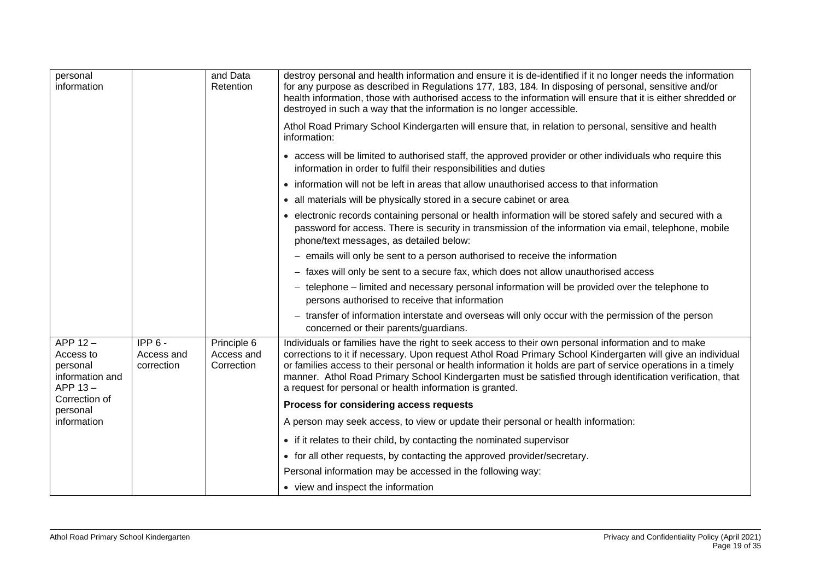| personal<br>information                                           |                                      | and Data<br>Retention                   | destroy personal and health information and ensure it is de-identified if it no longer needs the information<br>for any purpose as described in Regulations 177, 183, 184. In disposing of personal, sensitive and/or<br>health information, those with authorised access to the information will ensure that it is either shredded or<br>destroyed in such a way that the information is no longer accessible.                                                                                                |
|-------------------------------------------------------------------|--------------------------------------|-----------------------------------------|----------------------------------------------------------------------------------------------------------------------------------------------------------------------------------------------------------------------------------------------------------------------------------------------------------------------------------------------------------------------------------------------------------------------------------------------------------------------------------------------------------------|
|                                                                   |                                      |                                         | Athol Road Primary School Kindergarten will ensure that, in relation to personal, sensitive and health<br>information:                                                                                                                                                                                                                                                                                                                                                                                         |
|                                                                   |                                      |                                         | • access will be limited to authorised staff, the approved provider or other individuals who require this<br>information in order to fulfil their responsibilities and duties                                                                                                                                                                                                                                                                                                                                  |
|                                                                   |                                      |                                         | • information will not be left in areas that allow unauthorised access to that information                                                                                                                                                                                                                                                                                                                                                                                                                     |
|                                                                   |                                      |                                         | • all materials will be physically stored in a secure cabinet or area                                                                                                                                                                                                                                                                                                                                                                                                                                          |
|                                                                   |                                      |                                         | • electronic records containing personal or health information will be stored safely and secured with a<br>password for access. There is security in transmission of the information via email, telephone, mobile<br>phone/text messages, as detailed below:                                                                                                                                                                                                                                                   |
|                                                                   |                                      |                                         | - emails will only be sent to a person authorised to receive the information                                                                                                                                                                                                                                                                                                                                                                                                                                   |
|                                                                   |                                      |                                         | - faxes will only be sent to a secure fax, which does not allow unauthorised access                                                                                                                                                                                                                                                                                                                                                                                                                            |
|                                                                   |                                      |                                         | - telephone – limited and necessary personal information will be provided over the telephone to<br>persons authorised to receive that information                                                                                                                                                                                                                                                                                                                                                              |
|                                                                   |                                      |                                         | - transfer of information interstate and overseas will only occur with the permission of the person<br>concerned or their parents/guardians.                                                                                                                                                                                                                                                                                                                                                                   |
| APP $12 -$<br>Access to<br>personal<br>information and<br>APP 13- | $IPP6 -$<br>Access and<br>correction | Principle 6<br>Access and<br>Correction | Individuals or families have the right to seek access to their own personal information and to make<br>corrections to it if necessary. Upon request Athol Road Primary School Kindergarten will give an individual<br>or families access to their personal or health information it holds are part of service operations in a timely<br>manner. Athol Road Primary School Kindergarten must be satisfied through identification verification, that<br>a request for personal or health information is granted. |
| Correction of<br>personal                                         |                                      |                                         | Process for considering access requests                                                                                                                                                                                                                                                                                                                                                                                                                                                                        |
| information                                                       |                                      |                                         | A person may seek access, to view or update their personal or health information:                                                                                                                                                                                                                                                                                                                                                                                                                              |
|                                                                   |                                      |                                         | • if it relates to their child, by contacting the nominated supervisor                                                                                                                                                                                                                                                                                                                                                                                                                                         |
|                                                                   |                                      |                                         | • for all other requests, by contacting the approved provider/secretary.                                                                                                                                                                                                                                                                                                                                                                                                                                       |
|                                                                   |                                      |                                         | Personal information may be accessed in the following way:                                                                                                                                                                                                                                                                                                                                                                                                                                                     |
|                                                                   |                                      |                                         | • view and inspect the information                                                                                                                                                                                                                                                                                                                                                                                                                                                                             |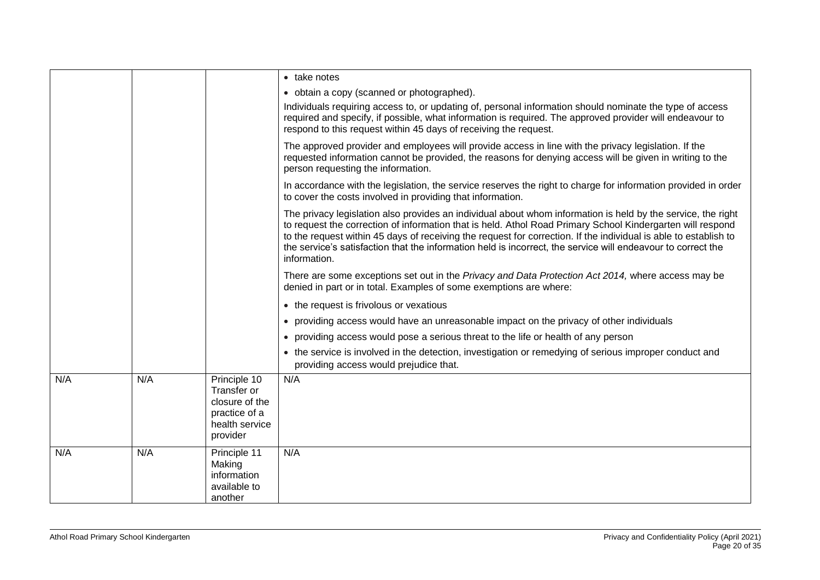|     |     |                                                                                              | • take notes                                                                                                                                                                                                                                                                                                                                                                                                                                                                   |
|-----|-----|----------------------------------------------------------------------------------------------|--------------------------------------------------------------------------------------------------------------------------------------------------------------------------------------------------------------------------------------------------------------------------------------------------------------------------------------------------------------------------------------------------------------------------------------------------------------------------------|
|     |     |                                                                                              | • obtain a copy (scanned or photographed).                                                                                                                                                                                                                                                                                                                                                                                                                                     |
|     |     |                                                                                              | Individuals requiring access to, or updating of, personal information should nominate the type of access<br>required and specify, if possible, what information is required. The approved provider will endeavour to<br>respond to this request within 45 days of receiving the request.                                                                                                                                                                                       |
|     |     |                                                                                              | The approved provider and employees will provide access in line with the privacy legislation. If the<br>requested information cannot be provided, the reasons for denying access will be given in writing to the<br>person requesting the information.                                                                                                                                                                                                                         |
|     |     |                                                                                              | In accordance with the legislation, the service reserves the right to charge for information provided in order<br>to cover the costs involved in providing that information.                                                                                                                                                                                                                                                                                                   |
|     |     |                                                                                              | The privacy legislation also provides an individual about whom information is held by the service, the right<br>to request the correction of information that is held. Athol Road Primary School Kindergarten will respond<br>to the request within 45 days of receiving the request for correction. If the individual is able to establish to<br>the service's satisfaction that the information held is incorrect, the service will endeavour to correct the<br>information. |
|     |     |                                                                                              | There are some exceptions set out in the Privacy and Data Protection Act 2014, where access may be<br>denied in part or in total. Examples of some exemptions are where:                                                                                                                                                                                                                                                                                                       |
|     |     |                                                                                              | • the request is frivolous or vexatious                                                                                                                                                                                                                                                                                                                                                                                                                                        |
|     |     |                                                                                              | • providing access would have an unreasonable impact on the privacy of other individuals                                                                                                                                                                                                                                                                                                                                                                                       |
|     |     |                                                                                              | • providing access would pose a serious threat to the life or health of any person                                                                                                                                                                                                                                                                                                                                                                                             |
|     |     |                                                                                              | • the service is involved in the detection, investigation or remedying of serious improper conduct and<br>providing access would prejudice that.                                                                                                                                                                                                                                                                                                                               |
| N/A | N/A | Principle 10<br>Transfer or<br>closure of the<br>practice of a<br>health service<br>provider | N/A                                                                                                                                                                                                                                                                                                                                                                                                                                                                            |
| N/A | N/A | Principle 11<br>Making<br>information<br>available to<br>another                             | N/A                                                                                                                                                                                                                                                                                                                                                                                                                                                                            |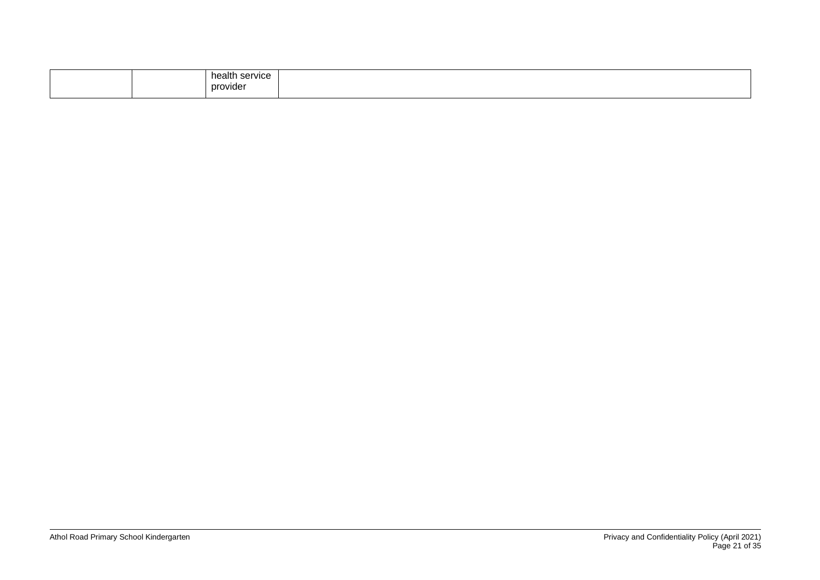| health<br>i service.<br>provider |  |
|----------------------------------|--|
|----------------------------------|--|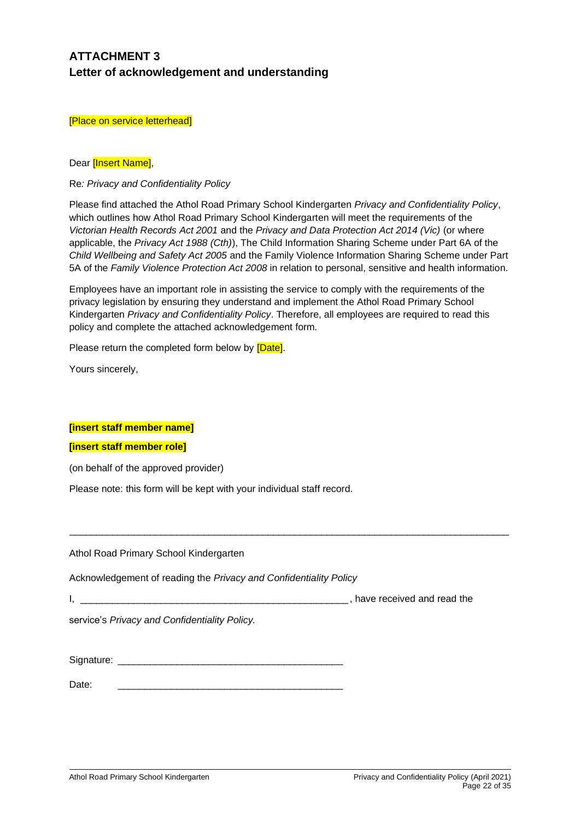# **ATTACHMENT 3 Letter of acknowledgement and understanding**

[Place on service letterhead]

#### Dear **[Insert Name]**,

Re*: Privacy and Confidentiality Policy*

Please find attached the Athol Road Primary School Kindergarten *Privacy and Confidentiality Policy*, which outlines how Athol Road Primary School Kindergarten will meet the requirements of the *Victorian Health Records Act 2001* and the *Privacy and Data Protection Act 2014 (Vic)* (or where applicable, the *Privacy Act 1988 (Cth)*), The Child Information Sharing Scheme under Part 6A of the *Child Wellbeing and Safety Act 2005* and the Family Violence Information Sharing Scheme under Part 5A of the *Family Violence Protection Act 2008* in relation to personal, sensitive and health information.

Employees have an important role in assisting the service to comply with the requirements of the privacy legislation by ensuring they understand and implement the Athol Road Primary School Kindergarten *Privacy and Confidentiality Policy*. Therefore, all employees are required to read this policy and complete the attached acknowledgement form*.* 

\_\_\_\_\_\_\_\_\_\_\_\_\_\_\_\_\_\_\_\_\_\_\_\_\_\_\_\_\_\_\_\_\_\_\_\_\_\_\_\_\_\_\_\_\_\_\_\_\_\_\_\_\_\_\_\_\_\_\_\_\_\_\_\_\_\_\_\_\_\_\_\_\_\_\_\_\_\_\_\_\_\_

Please return the completed form below by **[Date]**.

Yours sincerely,

### **[insert staff member name]**

#### **[insert staff member role]**

(on behalf of the approved provider)

Please note: this form will be kept with your individual staff record.

Athol Road Primary School Kindergarten

Acknowledgement of reading the *Privacy and Confidentiality Policy*

I, have received and read the

service's *Privacy and Confidentiality Policy.*

Signature: \_\_\_\_\_\_\_\_\_\_\_\_\_\_\_\_\_\_\_\_\_\_\_\_\_\_\_\_\_\_\_\_\_\_\_\_\_\_\_\_\_\_

Date: \_\_\_\_\_\_\_\_\_\_\_\_\_\_\_\_\_\_\_\_\_\_\_\_\_\_\_\_\_\_\_\_\_\_\_\_\_\_\_\_\_\_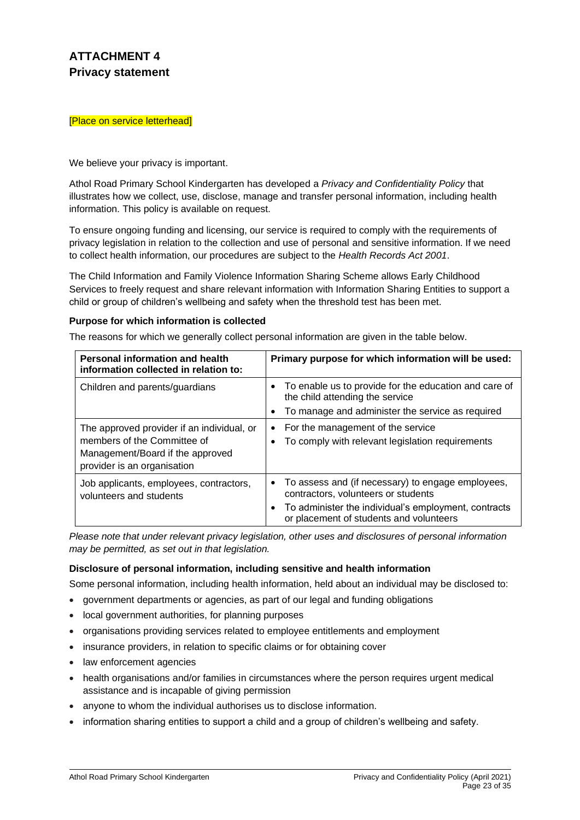# **ATTACHMENT 4 Privacy statement**

#### [Place on service letterhead]

#### We believe your privacy is important.

Athol Road Primary School Kindergarten has developed a *Privacy and Confidentiality Policy* that illustrates how we collect, use, disclose, manage and transfer personal information, including health information. This policy is available on request.

To ensure ongoing funding and licensing, our service is required to comply with the requirements of privacy legislation in relation to the collection and use of personal and sensitive information. If we need to collect health information, our procedures are subject to the *Health Records Act 2001*.

The Child Information and Family Violence Information Sharing Scheme allows Early Childhood Services to freely request and share relevant information with Information Sharing Entities to support a child or group of children's wellbeing and safety when the threshold test has been met.

#### **Purpose for which information is collected**

The reasons for which we generally collect personal information are given in the table below.

| Personal information and health<br>information collected in relation to:                                                                     | Primary purpose for which information will be used:                                                                                                                                                        |
|----------------------------------------------------------------------------------------------------------------------------------------------|------------------------------------------------------------------------------------------------------------------------------------------------------------------------------------------------------------|
| Children and parents/guardians                                                                                                               | To enable us to provide for the education and care of<br>the child attending the service<br>To manage and administer the service as required<br>٠                                                          |
| The approved provider if an individual, or<br>members of the Committee of<br>Management/Board if the approved<br>provider is an organisation | For the management of the service<br>$\bullet$<br>To comply with relevant legislation requirements                                                                                                         |
| Job applicants, employees, contractors,<br>volunteers and students                                                                           | • To assess and (if necessary) to engage employees,<br>contractors, volunteers or students<br>To administer the individual's employment, contracts<br>$\bullet$<br>or placement of students and volunteers |

*Please note that under relevant privacy legislation, other uses and disclosures of personal information may be permitted, as set out in that legislation.*

### **Disclosure of personal information, including sensitive and health information**

Some personal information, including health information, held about an individual may be disclosed to:

- government departments or agencies, as part of our legal and funding obligations
- local government authorities, for planning purposes
- organisations providing services related to employee entitlements and employment
- insurance providers, in relation to specific claims or for obtaining cover
- law enforcement agencies
- health organisations and/or families in circumstances where the person requires urgent medical assistance and is incapable of giving permission
- anyone to whom the individual authorises us to disclose information.
- information sharing entities to support a child and a group of children's wellbeing and safety.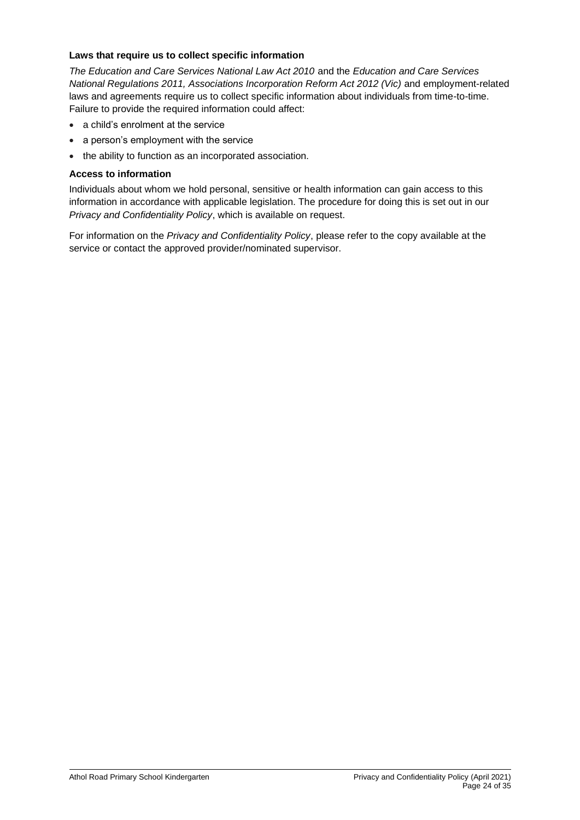## **Laws that require us to collect specific information**

*The Education and Care Services National Law Act 2010* and the *Education and Care Services National Regulations 2011, Associations Incorporation Reform Act 2012 (Vic)* and employment-related laws and agreements require us to collect specific information about individuals from time-to-time. Failure to provide the required information could affect:

- a child's enrolment at the service
- a person's employment with the service
- the ability to function as an incorporated association.

## **Access to information**

Individuals about whom we hold personal, sensitive or health information can gain access to this information in accordance with applicable legislation. The procedure for doing this is set out in our *Privacy and Confidentiality Policy*, which is available on request.

For information on the *Privacy and Confidentiality Policy*, please refer to the copy available at the service or contact the approved provider/nominated supervisor.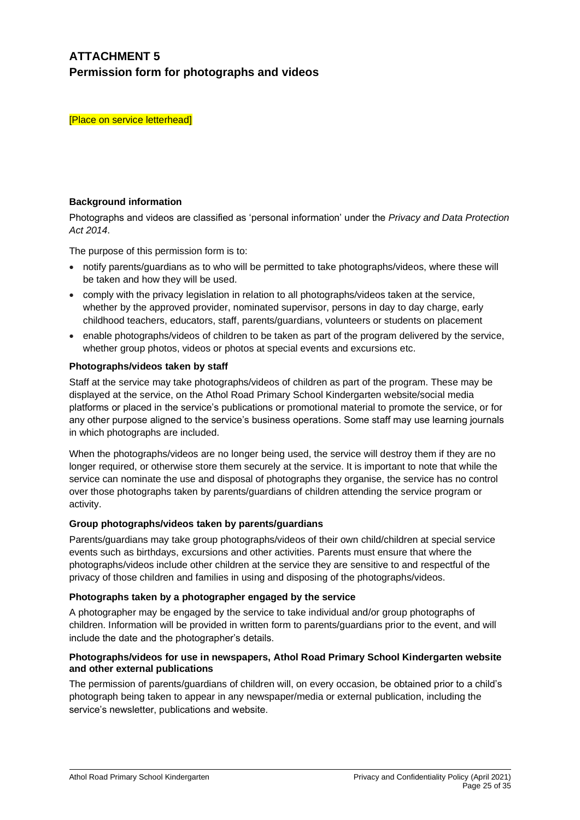# **ATTACHMENT 5 Permission form for photographs and videos**

[Place on service letterhead]

## **Background information**

Photographs and videos are classified as 'personal information' under the *Privacy and Data Protection Act 2014*.

The purpose of this permission form is to:

- notify parents/guardians as to who will be permitted to take photographs/videos, where these will be taken and how they will be used.
- comply with the privacy legislation in relation to all photographs/videos taken at the service, whether by the approved provider, nominated supervisor, persons in day to day charge, early childhood teachers, educators, staff, parents/guardians, volunteers or students on placement
- enable photographs/videos of children to be taken as part of the program delivered by the service, whether group photos, videos or photos at special events and excursions etc.

## **Photographs/videos taken by staff**

Staff at the service may take photographs/videos of children as part of the program. These may be displayed at the service, on the Athol Road Primary School Kindergarten website/social media platforms or placed in the service's publications or promotional material to promote the service, or for any other purpose aligned to the service's business operations. Some staff may use learning journals in which photographs are included.

When the photographs/videos are no longer being used, the service will destroy them if they are no longer required, or otherwise store them securely at the service. It is important to note that while the service can nominate the use and disposal of photographs they organise, the service has no control over those photographs taken by parents/guardians of children attending the service program or activity.

### **Group photographs/videos taken by parents/guardians**

Parents/guardians may take group photographs/videos of their own child/children at special service events such as birthdays, excursions and other activities. Parents must ensure that where the photographs/videos include other children at the service they are sensitive to and respectful of the privacy of those children and families in using and disposing of the photographs/videos.

### **Photographs taken by a photographer engaged by the service**

A photographer may be engaged by the service to take individual and/or group photographs of children. Information will be provided in written form to parents/guardians prior to the event, and will include the date and the photographer's details.

### **Photographs/videos for use in newspapers, Athol Road Primary School Kindergarten website and other external publications**

The permission of parents/guardians of children will, on every occasion, be obtained prior to a child's photograph being taken to appear in any newspaper/media or external publication, including the service's newsletter, publications and website.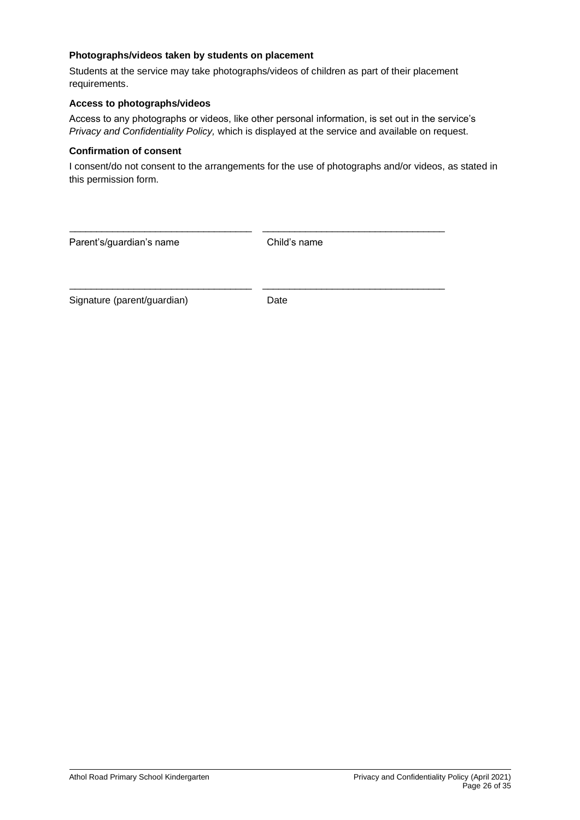## **Photographs/videos taken by students on placement**

Students at the service may take photographs/videos of children as part of their placement requirements.

# **Access to photographs/videos**

Access to any photographs or videos, like other personal information, is set out in the service's *Privacy and Confidentiality Policy,* which is displayed at the service and available on request.

#### **Confirmation of consent**

I consent/do not consent to the arrangements for the use of photographs and/or videos, as stated in this permission form.

| Parent's/guardian's name    | Child's name |
|-----------------------------|--------------|
|                             |              |
| Signature (parent/guardian) | Date         |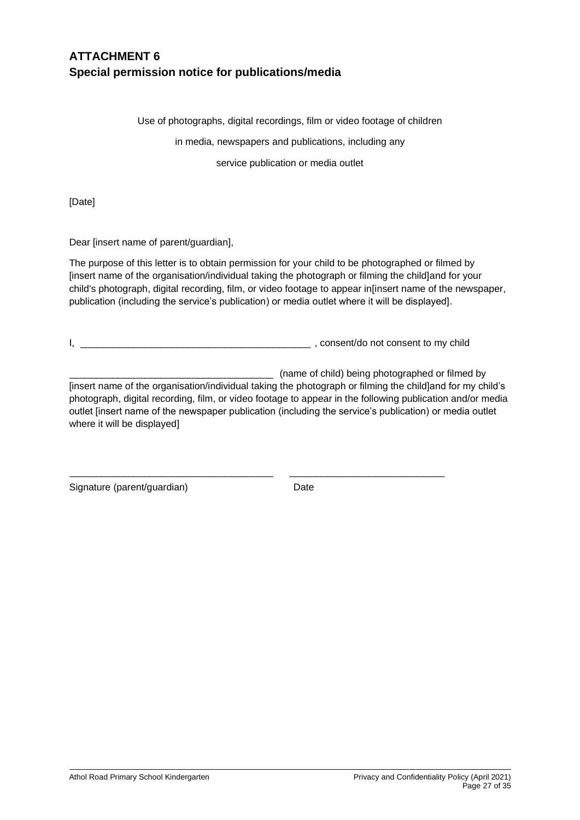# **ATTACHMENT 6 Special permission notice for publications/media**

Use of photographs, digital recordings, film or video footage of children

in media, newspapers and publications, including any

service publication or media outlet

[Date]

Dear [insert name of parent/guardian],

The purpose of this letter is to obtain permission for your child to be photographed or filmed by [insert name of the organisation/individual taking the photograph or filming the child]and for your child's photograph, digital recording, film, or video footage to appear in[insert name of the newspaper, publication (including the service's publication) or media outlet where it will be displayed].

I, \_\_\_\_\_\_\_\_\_\_\_\_\_\_\_\_\_\_\_\_\_\_\_\_\_\_\_\_\_\_\_\_\_\_\_\_\_\_\_\_\_\_\_ , consent/do not consent to my child

\_\_\_\_\_\_\_\_\_\_\_\_\_\_\_\_\_\_\_\_\_\_\_\_\_\_\_\_\_\_\_\_\_\_\_\_\_\_ \_\_\_\_\_\_\_\_\_\_\_\_\_\_\_\_\_\_\_\_\_\_\_\_\_\_\_\_\_

\_\_\_\_\_\_\_\_\_\_\_\_\_\_\_\_\_\_\_\_\_\_\_\_\_\_\_\_\_\_\_\_\_\_\_\_\_\_ (name of child) being photographed or filmed by

[insert name of the organisation/individual taking the photograph or filming the child]and for my child's photograph, digital recording, film, or video footage to appear in the following publication and/or media outlet [insert name of the newspaper publication (including the service's publication) or media outlet where it will be displayed]

Signature (parent/guardian) Date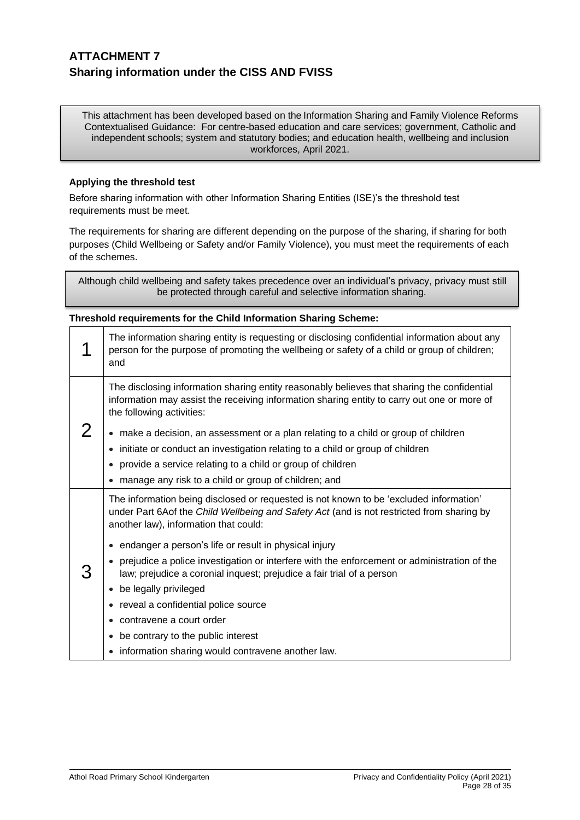# **ATTACHMENT 7 Sharing information under the CISS AND FVISS**

This attachment has been developed based on the Information Sharing and Family Violence Reforms Contextualised Guidance: For centre-based education and care services; government, Catholic and independent schools; system and statutory bodies; and education health, wellbeing and inclusion workforces, April 2021.

## **Applying the threshold test**

Before sharing information with other Information Sharing Entities (ISE)'s the threshold test requirements must be meet.

The requirements for sharing are different depending on the purpose of the sharing, if sharing for both purposes (Child Wellbeing or Safety and/or Family Violence), you must meet the requirements of each of the schemes.

Although child wellbeing and safety takes precedence over an individual's privacy, privacy must still be protected through careful and selective information sharing.

### **Threshold requirements for the Child Information Sharing Scheme:**

|  | The information sharing entity is requesting or disclosing confidential information about any<br>person for the purpose of promoting the wellbeing or safety of a child or group of children;<br>and                                                                                                                                                                                            |
|--|-------------------------------------------------------------------------------------------------------------------------------------------------------------------------------------------------------------------------------------------------------------------------------------------------------------------------------------------------------------------------------------------------|
|  | The disclosing information sharing entity reasonably believes that sharing the confidential<br>information may assist the receiving information sharing entity to carry out one or more of<br>the following activities:<br>• make a decision, an assessment or a plan relating to a child or group of children<br>initiate or conduct an investigation relating to a child or group of children |
|  | provide a service relating to a child or group of children<br>manage any risk to a child or group of children; and                                                                                                                                                                                                                                                                              |
|  | The information being disclosed or requested is not known to be 'excluded information'<br>under Part 6Aof the Child Wellbeing and Safety Act (and is not restricted from sharing by<br>another law), information that could:                                                                                                                                                                    |
|  | • endanger a person's life or result in physical injury                                                                                                                                                                                                                                                                                                                                         |
|  | prejudice a police investigation or interfere with the enforcement or administration of the<br>law; prejudice a coronial inquest; prejudice a fair trial of a person                                                                                                                                                                                                                            |
|  | be legally privileged                                                                                                                                                                                                                                                                                                                                                                           |
|  | reveal a confidential police source                                                                                                                                                                                                                                                                                                                                                             |
|  | contravene a court order<br>$\bullet$                                                                                                                                                                                                                                                                                                                                                           |
|  | be contrary to the public interest<br>٠                                                                                                                                                                                                                                                                                                                                                         |
|  | information sharing would contravene another law.<br>٠                                                                                                                                                                                                                                                                                                                                          |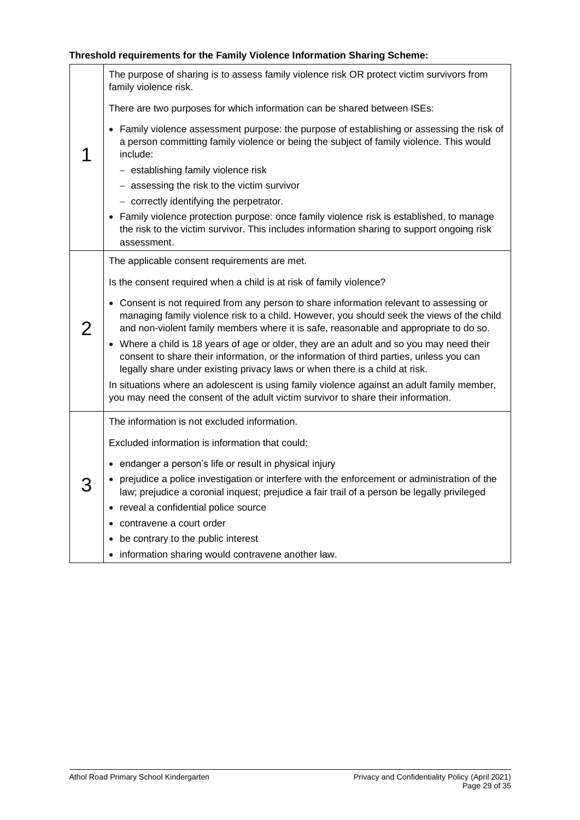# **Threshold requirements for the Family Violence Information Sharing Scheme:**

|  | The purpose of sharing is to assess family violence risk OR protect victim survivors from<br>family violence risk.                                                                                                                                                            |
|--|-------------------------------------------------------------------------------------------------------------------------------------------------------------------------------------------------------------------------------------------------------------------------------|
|  | There are two purposes for which information can be shared between ISEs:                                                                                                                                                                                                      |
|  | • Family violence assessment purpose: the purpose of establishing or assessing the risk of<br>a person committing family violence or being the subject of family violence. This would<br>include:                                                                             |
|  | - establishing family violence risk                                                                                                                                                                                                                                           |
|  | - assessing the risk to the victim survivor                                                                                                                                                                                                                                   |
|  | - correctly identifying the perpetrator.                                                                                                                                                                                                                                      |
|  | • Family violence protection purpose: once family violence risk is established, to manage<br>the risk to the victim survivor. This includes information sharing to support ongoing risk<br>assessment.                                                                        |
|  | The applicable consent requirements are met.                                                                                                                                                                                                                                  |
|  | Is the consent required when a child is at risk of family violence?                                                                                                                                                                                                           |
|  | • Consent is not required from any person to share information relevant to assessing or<br>managing family violence risk to a child. However, you should seek the views of the child<br>and non-violent family members where it is safe, reasonable and appropriate to do so. |
|  | • Where a child is 18 years of age or older, they are an adult and so you may need their<br>consent to share their information, or the information of third parties, unless you can<br>legally share under existing privacy laws or when there is a child at risk.            |
|  | In situations where an adolescent is using family violence against an adult family member,<br>you may need the consent of the adult victim survivor to share their information.                                                                                               |
|  | The information is not excluded information.                                                                                                                                                                                                                                  |
|  | Excluded information is information that could:                                                                                                                                                                                                                               |
|  | • endanger a person's life or result in physical injury                                                                                                                                                                                                                       |
|  | • prejudice a police investigation or interfere with the enforcement or administration of the<br>law; prejudice a coronial inquest; prejudice a fair trail of a person be legally privileged                                                                                  |
|  | • reveal a confidential police source                                                                                                                                                                                                                                         |
|  | contravene a court order                                                                                                                                                                                                                                                      |
|  | • be contrary to the public interest                                                                                                                                                                                                                                          |
|  | • information sharing would contravene another law.                                                                                                                                                                                                                           |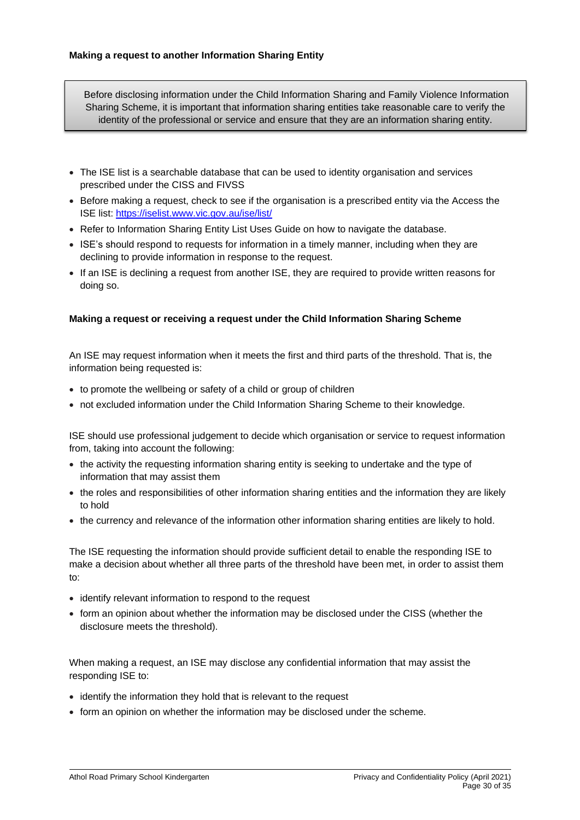Before disclosing information under the Child Information Sharing and Family Violence Information Sharing Scheme, it is important that information sharing entities take reasonable care to verify the identity of the professional or service and ensure that they are an information sharing entity.

- The ISE list is a searchable database that can be used to identity organisation and services prescribed under the CISS and FIVSS
- Before making a request, check to see if the organisation is a prescribed entity via the Access the ISE list:<https://iselist.www.vic.gov.au/ise/list/>
- Refer to Information Sharing Entity List Uses Guide on how to navigate the database.
- ISE's should respond to requests for information in a timely manner, including when they are declining to provide information in response to the request.
- If an ISE is declining a request from another ISE, they are required to provide written reasons for doing so.

### **Making a request or receiving a request under the Child Information Sharing Scheme**

An ISE may request information when it meets the first and third parts of the threshold. That is, the information being requested is:

- to promote the wellbeing or safety of a child or group of children
- not excluded information under the Child Information Sharing Scheme to their knowledge.

ISE should use professional judgement to decide which organisation or service to request information from, taking into account the following:

- the activity the requesting information sharing entity is seeking to undertake and the type of information that may assist them
- the roles and responsibilities of other information sharing entities and the information they are likely to hold
- the currency and relevance of the information other information sharing entities are likely to hold.

The ISE requesting the information should provide sufficient detail to enable the responding ISE to make a decision about whether all three parts of the threshold have been met, in order to assist them to:

- identify relevant information to respond to the request
- form an opinion about whether the information may be disclosed under the CISS (whether the disclosure meets the threshold).

When making a request, an ISE may disclose any confidential information that may assist the responding ISE to:

- identify the information they hold that is relevant to the request
- form an opinion on whether the information may be disclosed under the scheme.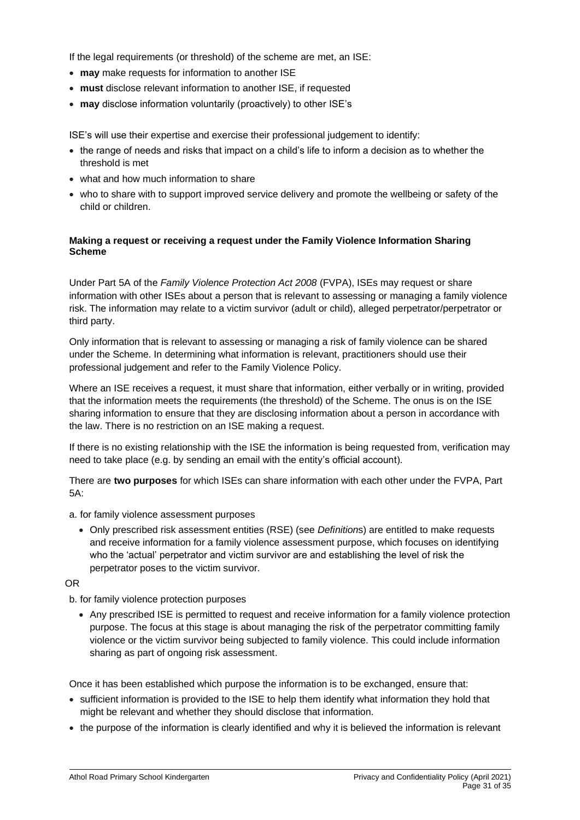If the legal requirements (or threshold) of the scheme are met, an ISE:

- **may** make requests for information to another ISE
- **must** disclose relevant information to another ISE, if requested
- **may** disclose information voluntarily (proactively) to other ISE's

ISE's will use their expertise and exercise their professional judgement to identify:

- the range of needs and risks that impact on a child's life to inform a decision as to whether the threshold is met
- what and how much information to share
- who to share with to support improved service delivery and promote the wellbeing or safety of the child or children.

## **Making a request or receiving a request under the Family Violence Information Sharing Scheme**

Under Part 5A of the *Family Violence Protection Act 2008* (FVPA), ISEs may request or share information with other ISEs about a person that is relevant to assessing or managing a family violence risk. The information may relate to a victim survivor (adult or child), alleged perpetrator/perpetrator or third party.

Only information that is relevant to assessing or managing a risk of family violence can be shared under the Scheme. In determining what information is relevant, practitioners should use their professional judgement and refer to the Family Violence Policy.

Where an ISE receives a request, it must share that information, either verbally or in writing, provided that the information meets the requirements (the threshold) of the Scheme. The onus is on the ISE sharing information to ensure that they are disclosing information about a person in accordance with the law. There is no restriction on an ISE making a request.

If there is no existing relationship with the ISE the information is being requested from, verification may need to take place (e.g. by sending an email with the entity's official account).

There are **two purposes** for which ISEs can share information with each other under the FVPA, Part 5A:

a. for family violence assessment purposes

• Only prescribed risk assessment entities (RSE) (see *Definition*s) are entitled to make requests and receive information for a family violence assessment purpose, which focuses on identifying who the 'actual' perpetrator and victim survivor are and establishing the level of risk the perpetrator poses to the victim survivor.

OR

b. for family violence protection purposes

• Any prescribed ISE is permitted to request and receive information for a family violence protection purpose. The focus at this stage is about managing the risk of the perpetrator committing family violence or the victim survivor being subjected to family violence. This could include information sharing as part of ongoing risk assessment.

Once it has been established which purpose the information is to be exchanged, ensure that:

- sufficient information is provided to the ISE to help them identify what information they hold that might be relevant and whether they should disclose that information.
- the purpose of the information is clearly identified and why it is believed the information is relevant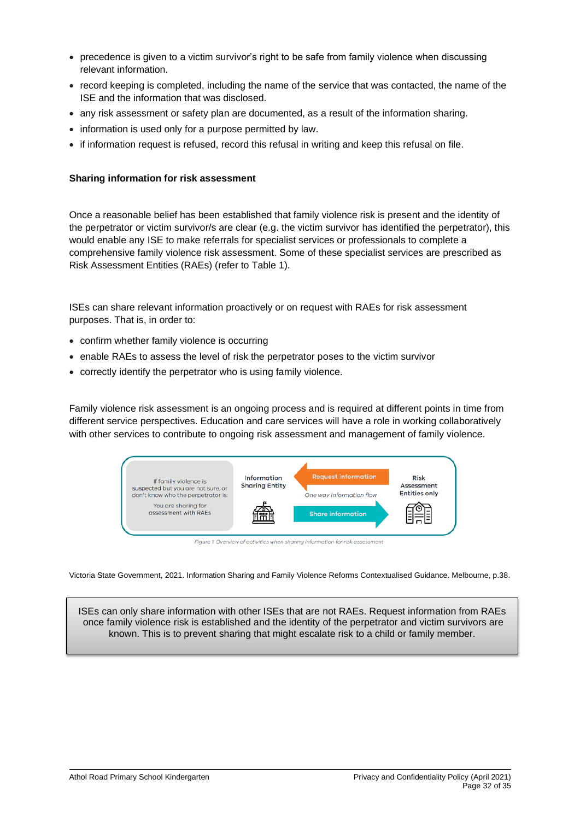- precedence is given to a victim survivor's right to be safe from family violence when discussing relevant information.
- record keeping is completed, including the name of the service that was contacted, the name of the ISE and the information that was disclosed.
- any risk assessment or safety plan are documented, as a result of the information sharing.
- information is used only for a purpose permitted by law.
- if information request is refused, record this refusal in writing and keep this refusal on file.

## **Sharing information for risk assessment**

Once a reasonable belief has been established that family violence risk is present and the identity of the perpetrator or victim survivor/s are clear (e.g. the victim survivor has identified the perpetrator), this would enable any ISE to make referrals for specialist services or professionals to complete a comprehensive family violence risk assessment. Some of these specialist services are prescribed as Risk Assessment Entities (RAEs) (refer to Table 1).

ISEs can share relevant information proactively or on request with RAEs for risk assessment purposes. That is, in order to:

- confirm whether family violence is occurring
- enable RAEs to assess the level of risk the perpetrator poses to the victim survivor
- correctly identify the perpetrator who is using family violence.

Family violence risk assessment is an ongoing process and is required at different points in time from different service perspectives. Education and care services will have a role in working collaboratively with other services to contribute to ongoing risk assessment and management of family violence.



Figure 1: Overview of activities when sharing information for risk assessment

Victoria State Government, 2021. Information Sharing and Family Violence Reforms Contextualised Guidance. Melbourne, p.38.

ISEs can only share information with other ISEs that are not RAEs. Request information from RAEs once family violence risk is established and the identity of the perpetrator and victim survivors are known. This is to prevent sharing that might escalate risk to a child or family member.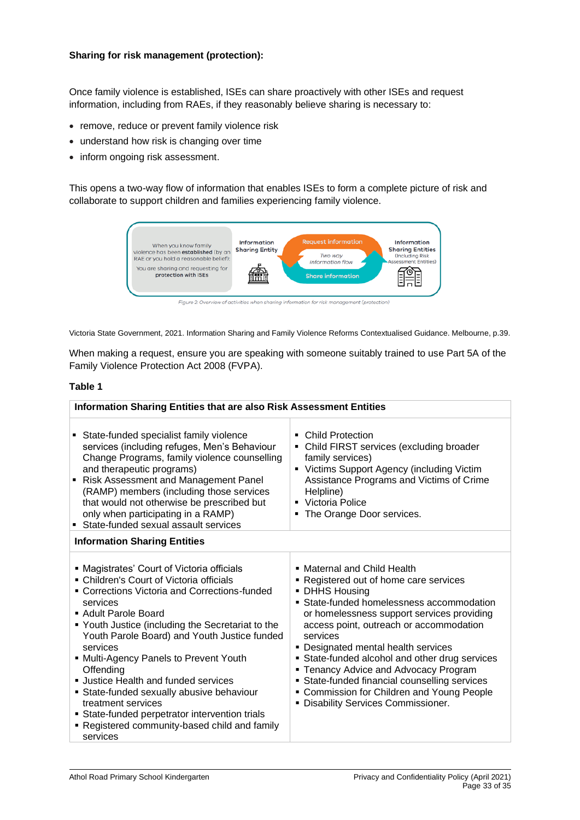## **Sharing for risk management (protection):**

Once family violence is established, ISEs can share proactively with other ISEs and request information, including from RAEs, if they reasonably believe sharing is necessary to:

- remove, reduce or prevent family violence risk
- understand how risk is changing over time
- inform ongoing risk assessment.

This opens a two-way flow of information that enables ISEs to form a complete picture of risk and collaborate to support children and families experiencing family violence.



Victoria State Government, 2021. Information Sharing and Family Violence Reforms Contextualised Guidance. Melbourne, p.39.

When making a request, ensure you are speaking with someone suitably trained to use Part 5A of the Family Violence Protection Act 2008 (FVPA).

#### **Table 1**

| <b>Information Sharing Entities that are also Risk Assessment Entities</b>                                                                                                                                                                                                                                                                                                                                                                                                                                                                                                     |                                                                                                                                                                                                                                                                                                                                                                                                                                                                                                                   |  |  |  |
|--------------------------------------------------------------------------------------------------------------------------------------------------------------------------------------------------------------------------------------------------------------------------------------------------------------------------------------------------------------------------------------------------------------------------------------------------------------------------------------------------------------------------------------------------------------------------------|-------------------------------------------------------------------------------------------------------------------------------------------------------------------------------------------------------------------------------------------------------------------------------------------------------------------------------------------------------------------------------------------------------------------------------------------------------------------------------------------------------------------|--|--|--|
| State-funded specialist family violence<br>services (including refuges, Men's Behaviour<br>Change Programs, family violence counselling<br>and therapeutic programs)<br>Risk Assessment and Management Panel<br>(RAMP) members (including those services<br>that would not otherwise be prescribed but<br>only when participating in a RAMP)<br>• State-funded sexual assault services                                                                                                                                                                                         | Child Protection<br>٠<br>Child FIRST services (excluding broader<br>family services)<br>• Victims Support Agency (including Victim<br>Assistance Programs and Victims of Crime<br>Helpline)<br>• Victoria Police<br>The Orange Door services.                                                                                                                                                                                                                                                                     |  |  |  |
| <b>Information Sharing Entities</b>                                                                                                                                                                                                                                                                                                                                                                                                                                                                                                                                            |                                                                                                                                                                                                                                                                                                                                                                                                                                                                                                                   |  |  |  |
| • Magistrates' Court of Victoria officials<br>• Children's Court of Victoria officials<br>• Corrections Victoria and Corrections-funded<br>services<br>■ Adult Parole Board<br>■ Youth Justice (including the Secretariat to the<br>Youth Parole Board) and Youth Justice funded<br>services<br>■ Multi-Agency Panels to Prevent Youth<br>Offending<br><b>Justice Health and funded services</b><br>State-funded sexually abusive behaviour<br>treatment services<br>State-funded perpetrator intervention trials<br>• Registered community-based child and family<br>services | • Maternal and Child Health<br>• Registered out of home care services<br>• DHHS Housing<br>• State-funded homelessness accommodation<br>or homelessness support services providing<br>access point, outreach or accommodation<br>services<br>• Designated mental health services<br>• State-funded alcohol and other drug services<br>• Tenancy Advice and Advocacy Program<br>• State-funded financial counselling services<br>• Commission for Children and Young People<br>· Disability Services Commissioner. |  |  |  |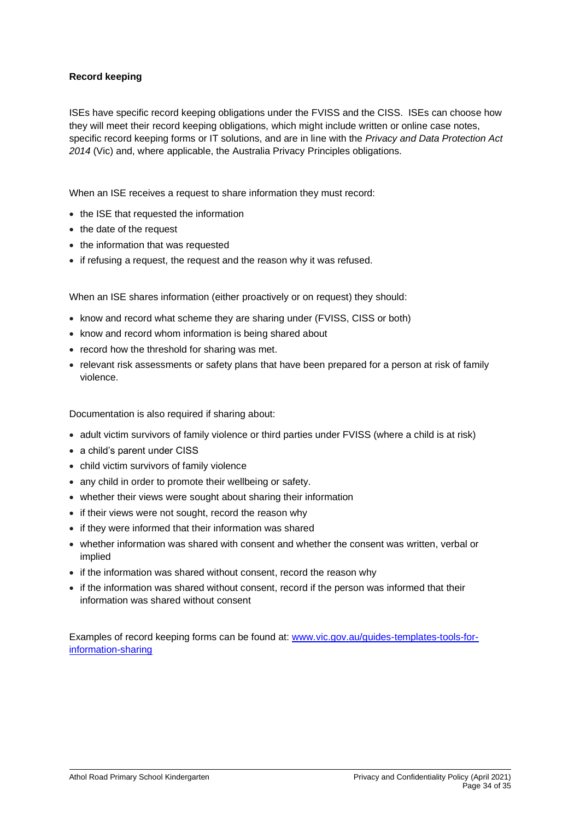## **Record keeping**

ISEs have specific record keeping obligations under the FVISS and the CISS. ISEs can choose how they will meet their record keeping obligations, which might include written or online case notes, specific record keeping forms or IT solutions, and are in line with the *Privacy and Data Protection Act 2014* (Vic) and, where applicable, the Australia Privacy Principles obligations.

When an ISE receives a request to share information they must record:

- the ISE that requested the information
- the date of the request
- the information that was requested
- if refusing a request, the request and the reason why it was refused.

When an ISE shares information (either proactively or on request) they should:

- know and record what scheme they are sharing under (FVISS, CISS or both)
- know and record whom information is being shared about
- record how the threshold for sharing was met.
- relevant risk assessments or safety plans that have been prepared for a person at risk of family violence.

Documentation is also required if sharing about:

- adult victim survivors of family violence or third parties under FVISS (where a child is at risk)
- a child's parent under CISS
- child victim survivors of family violence
- any child in order to promote their wellbeing or safety.
- whether their views were sought about sharing their information
- if their views were not sought, record the reason why
- if they were informed that their information was shared
- whether information was shared with consent and whether the consent was written, verbal or implied
- if the information was shared without consent, record the reason why
- if the information was shared without consent, record if the person was informed that their information was shared without consent

Examples of record keeping forms can be found at: [www.vic.gov.au/guides-templates-tools-for](http://www.vic.gov.au/guides-templates-tools-for-information-sharing)[information-sharing](http://www.vic.gov.au/guides-templates-tools-for-information-sharing)